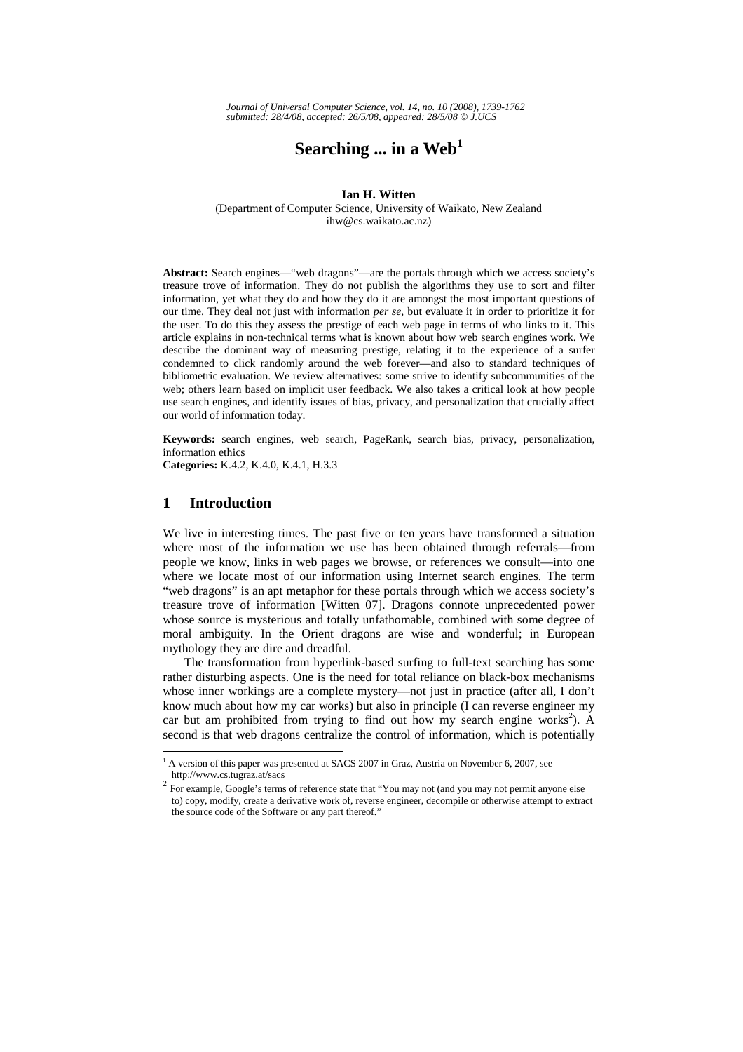*Journal of Universal Computer Science, vol. 14, no. 10 (2008), 1739-1762 submitted: 28/4/08, accepted: 26/5/08, appeared: 28/5/08* © *J.UCS*

# **Searching ... in a Web<sup>1</sup>**

#### **Ian H. Witten**

(Department of Computer Science, University of Waikato, New Zealand ihw@cs.waikato.ac.nz)

**Abstract:** Search engines—"web dragons"—are the portals through which we access society's treasure trove of information. They do not publish the algorithms they use to sort and filter information, yet what they do and how they do it are amongst the most important questions of our time. They deal not just with information *per se*, but evaluate it in order to prioritize it for the user. To do this they assess the prestige of each web page in terms of who links to it. This article explains in non-technical terms what is known about how web search engines work. We describe the dominant way of measuring prestige, relating it to the experience of a surfer condemned to click randomly around the web forever—and also to standard techniques of bibliometric evaluation. We review alternatives: some strive to identify subcommunities of the web; others learn based on implicit user feedback. We also takes a critical look at how people use search engines, and identify issues of bias, privacy, and personalization that crucially affect our world of information today.

**Keywords:** search engines, web search, PageRank, search bias, privacy, personalization, information ethics

**Categories:** K.4.2, K.4.0, K.4.1, H.3.3

## **1 Introduction**

l

We live in interesting times. The past five or ten years have transformed a situation where most of the information we use has been obtained through referrals—from people we know, links in web pages we browse, or references we consult—into one where we locate most of our information using Internet search engines. The term "web dragons" is an apt metaphor for these portals through which we access society's treasure trove of information [Witten 07]. Dragons connote unprecedented power whose source is mysterious and totally unfathomable, combined with some degree of moral ambiguity. In the Orient dragons are wise and wonderful; in European mythology they are dire and dreadful.

The transformation from hyperlink-based surfing to full-text searching has some rather disturbing aspects. One is the need for total reliance on black-box mechanisms whose inner workings are a complete mystery—not just in practice (after all, I don't know much about how my car works) but also in principle (I can reverse engineer my car but am prohibited from trying to find out how my search engine works<sup>2</sup>). A second is that web dragons centralize the control of information, which is potentially

<sup>&</sup>lt;sup>1</sup> A version of this paper was presented at SACS 2007 in Graz, Austria on November 6, 2007, see

http://www.cs.tugraz.at/sacs 2 For example, Google's terms of reference state that "You may not (and you may not permit anyone else to) copy, modify, create a derivative work of, reverse engineer, decompile or otherwise attempt to extract the source code of the Software or any part thereof."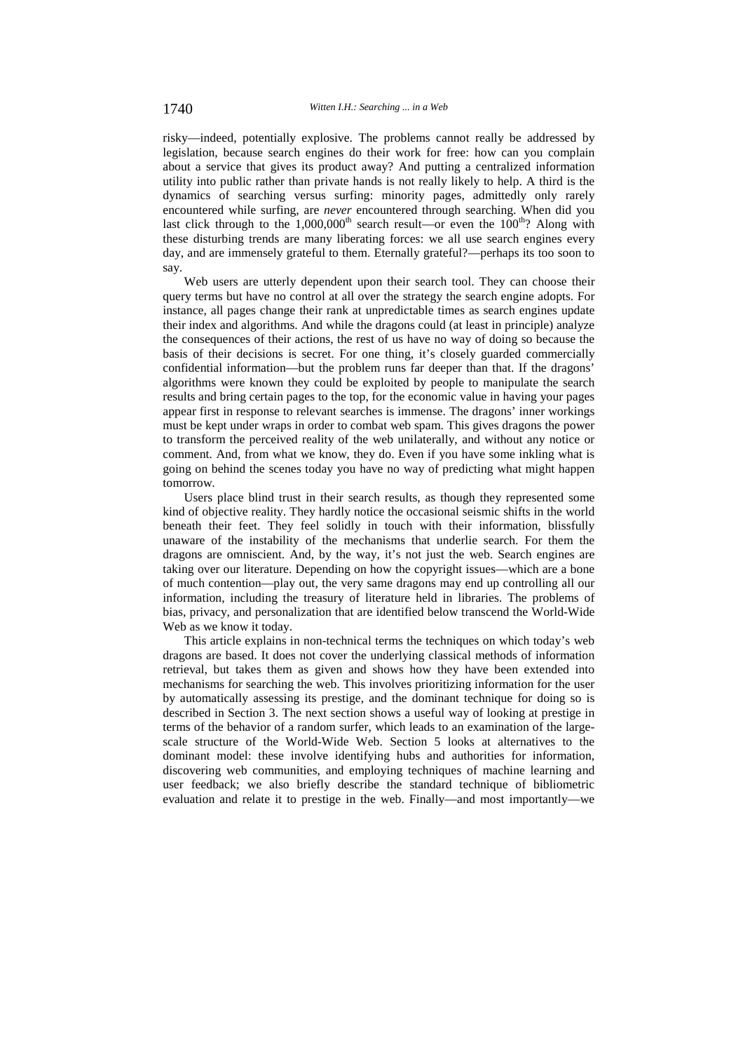risky—indeed, potentially explosive. The problems cannot really be addressed by legislation, because search engines do their work for free: how can you complain about a service that gives its product away? And putting a centralized information utility into public rather than private hands is not really likely to help. A third is the dynamics of searching versus surfing: minority pages, admittedly only rarely encountered while surfing, are *never* encountered through searching. When did you last click through to the  $1,000,000$ <sup>th</sup> search result—or even the  $100$ <sup>th</sup>? Along with these disturbing trends are many liberating forces: we all use search engines every day, and are immensely grateful to them. Eternally grateful?—perhaps its too soon to say.

Web users are utterly dependent upon their search tool. They can choose their query terms but have no control at all over the strategy the search engine adopts. For instance, all pages change their rank at unpredictable times as search engines update their index and algorithms. And while the dragons could (at least in principle) analyze the consequences of their actions, the rest of us have no way of doing so because the basis of their decisions is secret. For one thing, it's closely guarded commercially confidential information—but the problem runs far deeper than that. If the dragons' algorithms were known they could be exploited by people to manipulate the search results and bring certain pages to the top, for the economic value in having your pages appear first in response to relevant searches is immense. The dragons' inner workings must be kept under wraps in order to combat web spam. This gives dragons the power to transform the perceived reality of the web unilaterally, and without any notice or comment. And, from what we know, they do. Even if you have some inkling what is going on behind the scenes today you have no way of predicting what might happen tomorrow.

Users place blind trust in their search results, as though they represented some kind of objective reality. They hardly notice the occasional seismic shifts in the world beneath their feet. They feel solidly in touch with their information, blissfully unaware of the instability of the mechanisms that underlie search. For them the dragons are omniscient. And, by the way, it's not just the web. Search engines are taking over our literature. Depending on how the copyright issues—which are a bone of much contention—play out, the very same dragons may end up controlling all our information, including the treasury of literature held in libraries. The problems of bias, privacy, and personalization that are identified below transcend the World-Wide Web as we know it today.

This article explains in non-technical terms the techniques on which today's web dragons are based. It does not cover the underlying classical methods of information retrieval, but takes them as given and shows how they have been extended into mechanisms for searching the web. This involves prioritizing information for the user by automatically assessing its prestige, and the dominant technique for doing so is described in Section 3. The next section shows a useful way of looking at prestige in terms of the behavior of a random surfer, which leads to an examination of the largescale structure of the World-Wide Web. Section 5 looks at alternatives to the dominant model: these involve identifying hubs and authorities for information, discovering web communities, and employing techniques of machine learning and user feedback; we also briefly describe the standard technique of bibliometric evaluation and relate it to prestige in the web. Finally—and most importantly—we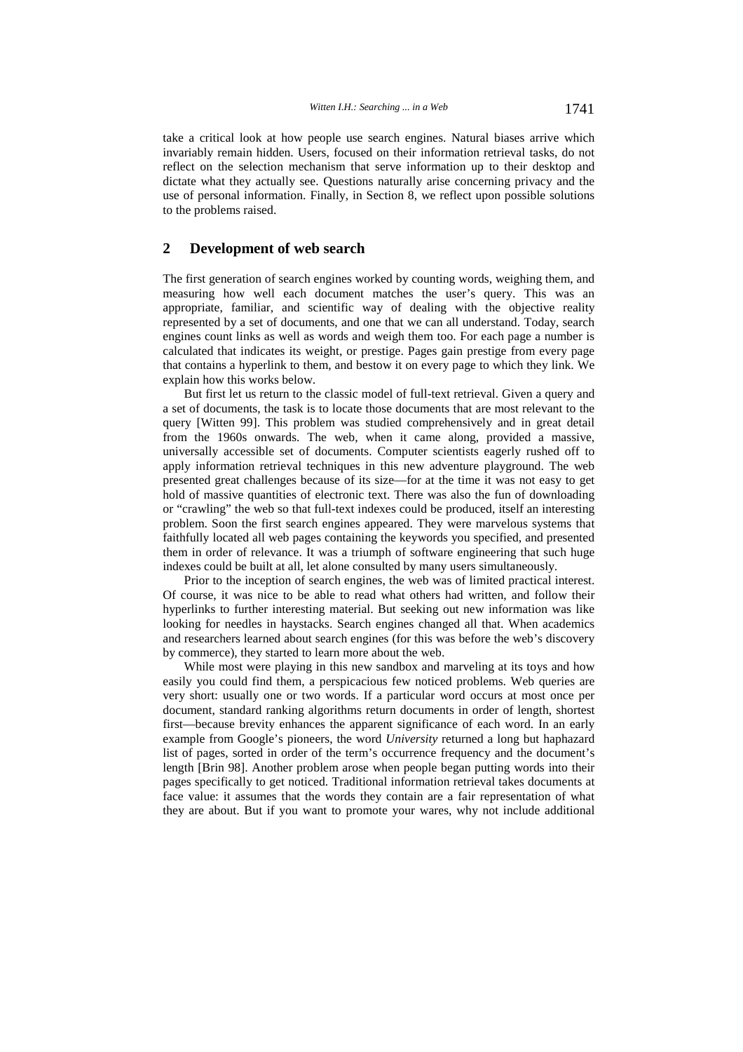take a critical look at how people use search engines. Natural biases arrive which invariably remain hidden. Users, focused on their information retrieval tasks, do not reflect on the selection mechanism that serve information up to their desktop and dictate what they actually see. Questions naturally arise concerning privacy and the use of personal information. Finally, in Section 8, we reflect upon possible solutions to the problems raised.

## **2 Development of web search**

The first generation of search engines worked by counting words, weighing them, and measuring how well each document matches the user's query. This was an appropriate, familiar, and scientific way of dealing with the objective reality represented by a set of documents, and one that we can all understand. Today, search engines count links as well as words and weigh them too. For each page a number is calculated that indicates its weight, or prestige. Pages gain prestige from every page that contains a hyperlink to them, and bestow it on every page to which they link. We explain how this works below.

But first let us return to the classic model of full-text retrieval. Given a query and a set of documents, the task is to locate those documents that are most relevant to the query [Witten 99]. This problem was studied comprehensively and in great detail from the 1960s onwards. The web, when it came along, provided a massive, universally accessible set of documents. Computer scientists eagerly rushed off to apply information retrieval techniques in this new adventure playground. The web presented great challenges because of its size—for at the time it was not easy to get hold of massive quantities of electronic text. There was also the fun of downloading or "crawling" the web so that full-text indexes could be produced, itself an interesting problem. Soon the first search engines appeared. They were marvelous systems that faithfully located all web pages containing the keywords you specified, and presented them in order of relevance. It was a triumph of software engineering that such huge indexes could be built at all, let alone consulted by many users simultaneously.

Prior to the inception of search engines, the web was of limited practical interest. Of course, it was nice to be able to read what others had written, and follow their hyperlinks to further interesting material. But seeking out new information was like looking for needles in haystacks. Search engines changed all that. When academics and researchers learned about search engines (for this was before the web's discovery by commerce), they started to learn more about the web.

While most were playing in this new sandbox and marveling at its toys and how easily you could find them, a perspicacious few noticed problems. Web queries are very short: usually one or two words. If a particular word occurs at most once per document, standard ranking algorithms return documents in order of length, shortest first—because brevity enhances the apparent significance of each word. In an early example from Google's pioneers, the word *University* returned a long but haphazard list of pages, sorted in order of the term's occurrence frequency and the document's length [Brin 98]. Another problem arose when people began putting words into their pages specifically to get noticed. Traditional information retrieval takes documents at face value: it assumes that the words they contain are a fair representation of what they are about. But if you want to promote your wares, why not include additional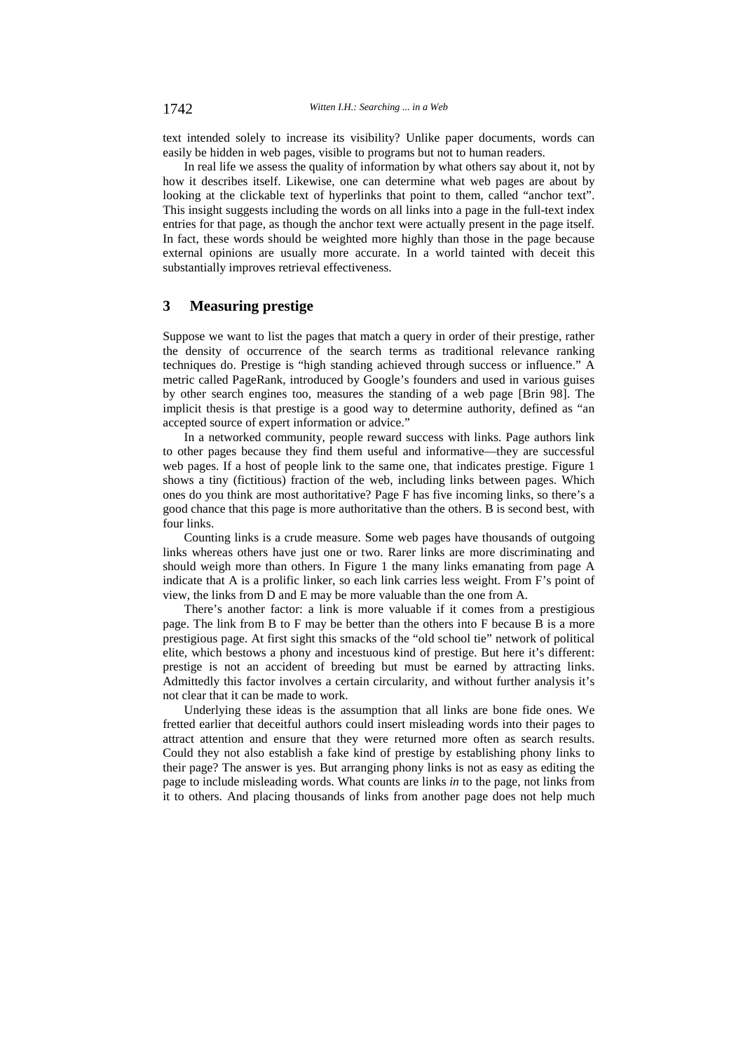text intended solely to increase its visibility? Unlike paper documents, words can easily be hidden in web pages, visible to programs but not to human readers.

In real life we assess the quality of information by what others say about it, not by how it describes itself. Likewise, one can determine what web pages are about by looking at the clickable text of hyperlinks that point to them, called "anchor text". This insight suggests including the words on all links into a page in the full-text index entries for that page, as though the anchor text were actually present in the page itself. In fact, these words should be weighted more highly than those in the page because external opinions are usually more accurate. In a world tainted with deceit this substantially improves retrieval effectiveness.

## **3 Measuring prestige**

Suppose we want to list the pages that match a query in order of their prestige, rather the density of occurrence of the search terms as traditional relevance ranking techniques do. Prestige is "high standing achieved through success or influence." A metric called PageRank, introduced by Google's founders and used in various guises by other search engines too, measures the standing of a web page [Brin 98]. The implicit thesis is that prestige is a good way to determine authority, defined as "an accepted source of expert information or advice."

In a networked community, people reward success with links. Page authors link to other pages because they find them useful and informative—they are successful web pages. If a host of people link to the same one, that indicates prestige. Figure 1 shows a tiny (fictitious) fraction of the web, including links between pages. Which ones do you think are most authoritative? Page F has five incoming links, so there's a good chance that this page is more authoritative than the others. B is second best, with four links.

Counting links is a crude measure. Some web pages have thousands of outgoing links whereas others have just one or two. Rarer links are more discriminating and should weigh more than others. In Figure 1 the many links emanating from page A indicate that A is a prolific linker, so each link carries less weight. From F's point of view, the links from D and E may be more valuable than the one from A.

There's another factor: a link is more valuable if it comes from a prestigious page. The link from B to F may be better than the others into F because B is a more prestigious page. At first sight this smacks of the "old school tie" network of political elite, which bestows a phony and incestuous kind of prestige. But here it's different: prestige is not an accident of breeding but must be earned by attracting links. Admittedly this factor involves a certain circularity, and without further analysis it's not clear that it can be made to work.

Underlying these ideas is the assumption that all links are bone fide ones. We fretted earlier that deceitful authors could insert misleading words into their pages to attract attention and ensure that they were returned more often as search results. Could they not also establish a fake kind of prestige by establishing phony links to their page? The answer is yes. But arranging phony links is not as easy as editing the page to include misleading words. What counts are links *in* to the page, not links from it to others. And placing thousands of links from another page does not help much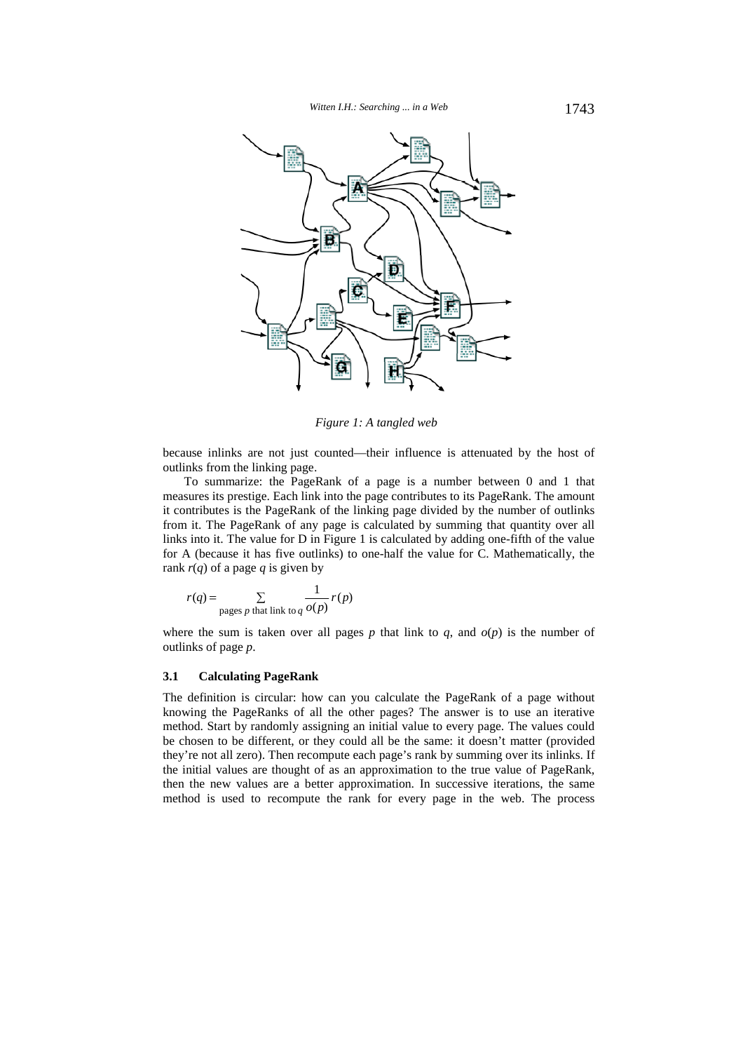

*Figure 1: A tangled web* 

because inlinks are not just counted—their influence is attenuated by the host of outlinks from the linking page.

To summarize: the PageRank of a page is a number between 0 and 1 that measures its prestige. Each link into the page contributes to its PageRank. The amount it contributes is the PageRank of the linking page divided by the number of outlinks from it. The PageRank of any page is calculated by summing that quantity over all links into it. The value for D in Figure 1 is calculated by adding one-fifth of the value for A (because it has five outlinks) to one-half the value for C. Mathematically, the rank  $r(q)$  of a page *q* is given by

$$
r(q) = \sum_{\text{pages } p \text{ that link to } q} \frac{1}{o(p)} r(p)
$$

where the sum is taken over all pages *p* that link to *q*, and  $o(p)$  is the number of outlinks of page *p*.

## **3.1 Calculating PageRank**

The definition is circular: how can you calculate the PageRank of a page without knowing the PageRanks of all the other pages? The answer is to use an iterative method. Start by randomly assigning an initial value to every page. The values could be chosen to be different, or they could all be the same: it doesn't matter (provided they're not all zero). Then recompute each page's rank by summing over its inlinks. If the initial values are thought of as an approximation to the true value of PageRank, then the new values are a better approximation. In successive iterations, the same method is used to recompute the rank for every page in the web. The process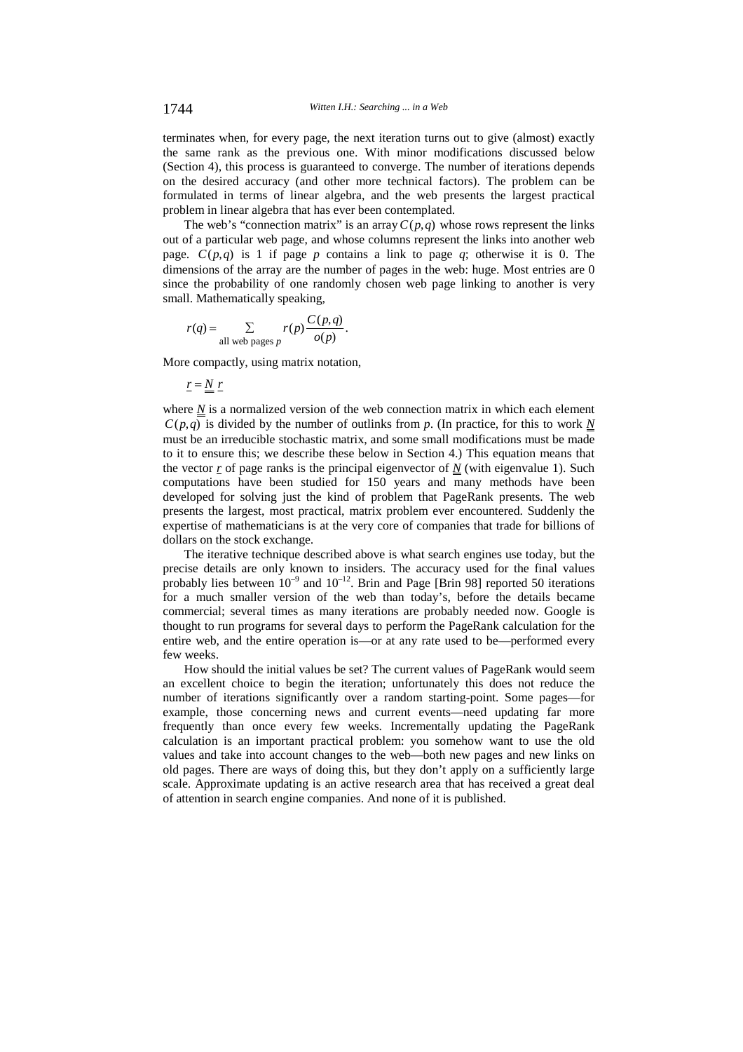terminates when, for every page, the next iteration turns out to give (almost) exactly the same rank as the previous one. With minor modifications discussed below (Section 4), this process is guaranteed to converge. The number of iterations depends on the desired accuracy (and other more technical factors). The problem can be formulated in terms of linear algebra, and the web presents the largest practical problem in linear algebra that has ever been contemplated.

The web's "connection matrix" is an array  $C(p,q)$  whose rows represent the links out of a particular web page, and whose columns represent the links into another web page.  $C(p,q)$  is 1 if page *p* contains a link to page *q*; otherwise it is 0. The dimensions of the array are the number of pages in the web: huge. Most entries are 0 since the probability of one randomly chosen web page linking to another is very small. Mathematically speaking,

$$
r(q) = \sum_{\text{all web pages } p} r(p) \frac{C(p, q)}{o(p)}.
$$

More compactly, using matrix notation,

$$
\underline{r} = \underline{N} \underline{r}
$$

where *N* is a normalized version of the web connection matrix in which each element  $C(p, q)$  is divided by the number of outlinks from *p*. (In practice, for this to work N must be an irreducible stochastic matrix, and some small modifications must be made to it to ensure this; we describe these below in Section 4.) This equation means that the vector  $r$  of page ranks is the principal eigenvector of  $\overline{N}$  (with eigenvalue 1). Such computations have been studied for 150 years and many methods have been developed for solving just the kind of problem that PageRank presents. The web presents the largest, most practical, matrix problem ever encountered. Suddenly the expertise of mathematicians is at the very core of companies that trade for billions of dollars on the stock exchange.

The iterative technique described above is what search engines use today, but the precise details are only known to insiders. The accuracy used for the final values probably lies between  $10^{-9}$  and  $10^{-12}$ . Brin and Page [Brin 98] reported 50 iterations for a much smaller version of the web than today's, before the details became commercial; several times as many iterations are probably needed now. Google is thought to run programs for several days to perform the PageRank calculation for the entire web, and the entire operation is—or at any rate used to be—performed every few weeks.

How should the initial values be set? The current values of PageRank would seem an excellent choice to begin the iteration; unfortunately this does not reduce the number of iterations significantly over a random starting-point. Some pages—for example, those concerning news and current events—need updating far more frequently than once every few weeks. Incrementally updating the PageRank calculation is an important practical problem: you somehow want to use the old values and take into account changes to the web—both new pages and new links on old pages. There are ways of doing this, but they don't apply on a sufficiently large scale. Approximate updating is an active research area that has received a great deal of attention in search engine companies. And none of it is published.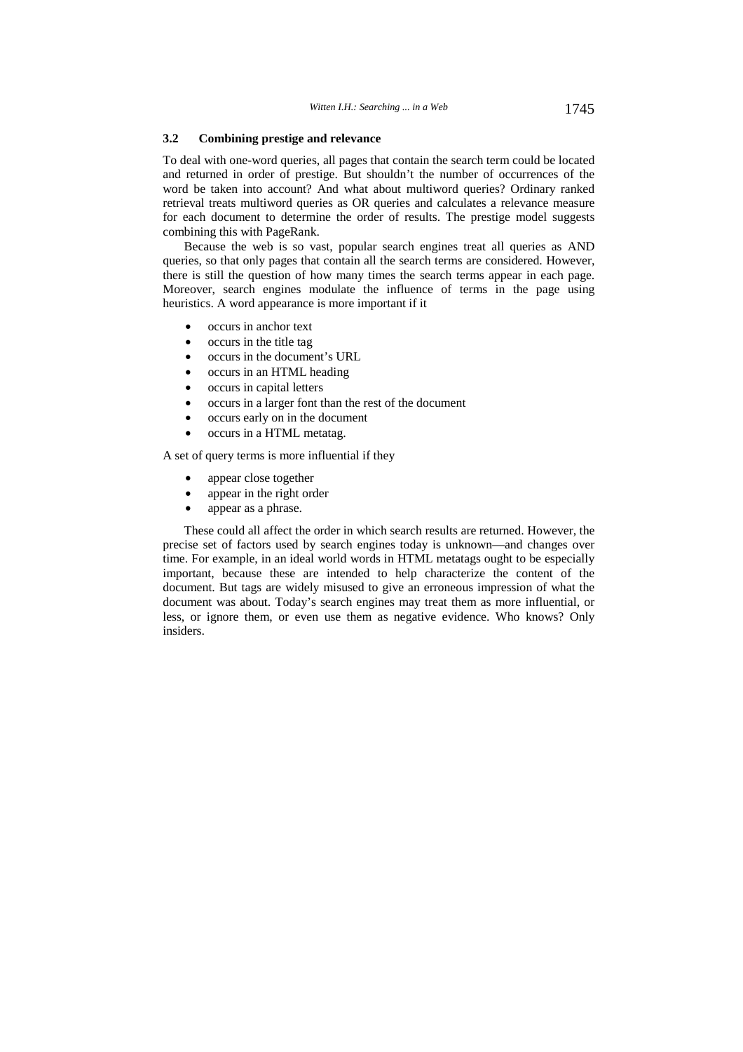## **3.2 Combining prestige and relevance**

To deal with one-word queries, all pages that contain the search term could be located and returned in order of prestige. But shouldn't the number of occurrences of the word be taken into account? And what about multiword queries? Ordinary ranked retrieval treats multiword queries as OR queries and calculates a relevance measure for each document to determine the order of results. The prestige model suggests combining this with PageRank.

Because the web is so vast, popular search engines treat all queries as AND queries, so that only pages that contain all the search terms are considered. However, there is still the question of how many times the search terms appear in each page. Moreover, search engines modulate the influence of terms in the page using heuristics. A word appearance is more important if it

- occurs in anchor text
- occurs in the title tag
- occurs in the document's URL
- occurs in an HTML heading
- occurs in capital letters
- occurs in a larger font than the rest of the document
- occurs early on in the document
- occurs in a HTML metatag.

A set of query terms is more influential if they

- appear close together
- appear in the right order
- appear as a phrase.

These could all affect the order in which search results are returned. However, the precise set of factors used by search engines today is unknown—and changes over time. For example, in an ideal world words in HTML metatags ought to be especially important, because these are intended to help characterize the content of the document. But tags are widely misused to give an erroneous impression of what the document was about. Today's search engines may treat them as more influential, or less, or ignore them, or even use them as negative evidence. Who knows? Only insiders.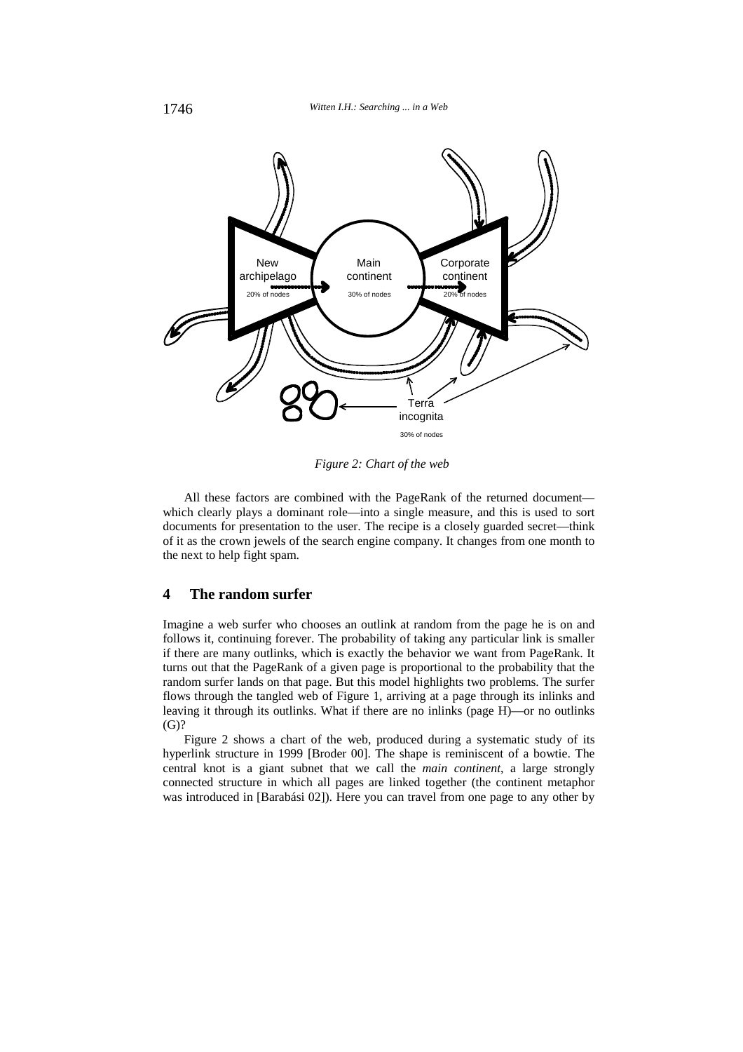

*Figure 2: Chart of the web* 

All these factors are combined with the PageRank of the returned document which clearly plays a dominant role—into a single measure, and this is used to sort documents for presentation to the user. The recipe is a closely guarded secret—think of it as the crown jewels of the search engine company. It changes from one month to the next to help fight spam.

## **4 The random surfer**

Imagine a web surfer who chooses an outlink at random from the page he is on and follows it, continuing forever. The probability of taking any particular link is smaller if there are many outlinks, which is exactly the behavior we want from PageRank. It turns out that the PageRank of a given page is proportional to the probability that the random surfer lands on that page. But this model highlights two problems. The surfer flows through the tangled web of Figure 1, arriving at a page through its inlinks and leaving it through its outlinks. What if there are no inlinks (page H)—or no outlinks (G)?

Figure 2 shows a chart of the web, produced during a systematic study of its hyperlink structure in 1999 [Broder 00]. The shape is reminiscent of a bowtie. The central knot is a giant subnet that we call the *main continent*, a large strongly connected structure in which all pages are linked together (the continent metaphor was introduced in [Barabási 02]). Here you can travel from one page to any other by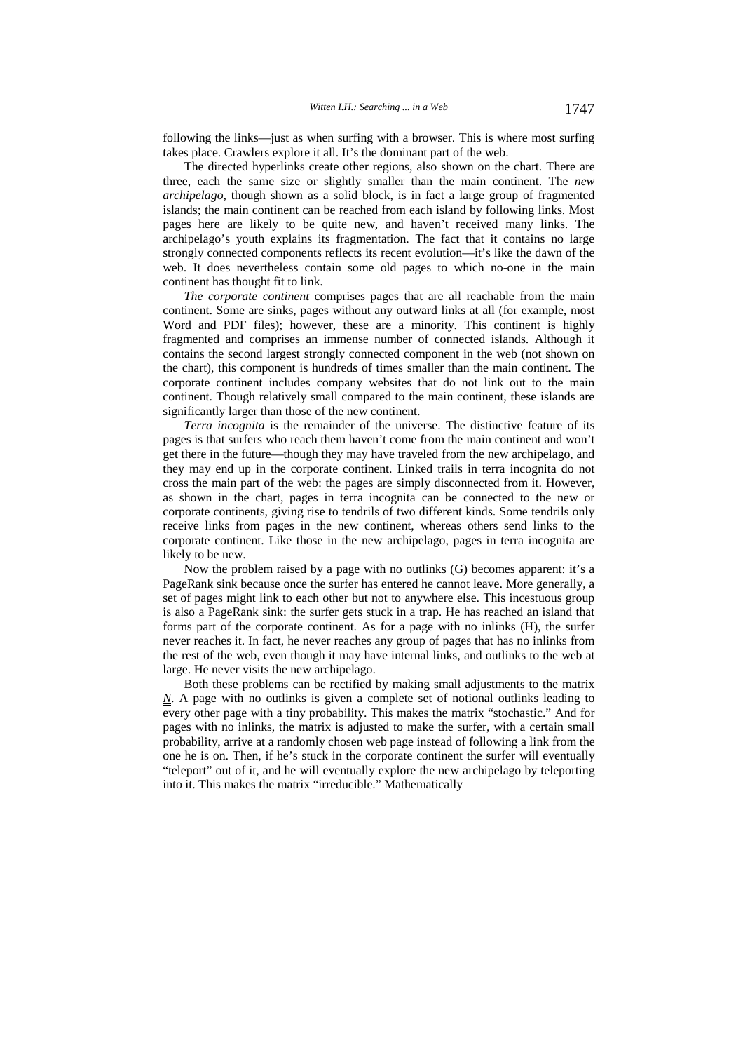following the links—just as when surfing with a browser. This is where most surfing takes place. Crawlers explore it all. It's the dominant part of the web.

The directed hyperlinks create other regions, also shown on the chart. There are three, each the same size or slightly smaller than the main continent. The *new archipelago*, though shown as a solid block, is in fact a large group of fragmented islands; the main continent can be reached from each island by following links. Most pages here are likely to be quite new, and haven't received many links. The archipelago's youth explains its fragmentation. The fact that it contains no large strongly connected components reflects its recent evolution—it's like the dawn of the web. It does nevertheless contain some old pages to which no-one in the main continent has thought fit to link.

*The corporate continent* comprises pages that are all reachable from the main continent. Some are sinks, pages without any outward links at all (for example, most Word and PDF files); however, these are a minority. This continent is highly fragmented and comprises an immense number of connected islands. Although it contains the second largest strongly connected component in the web (not shown on the chart), this component is hundreds of times smaller than the main continent. The corporate continent includes company websites that do not link out to the main continent. Though relatively small compared to the main continent, these islands are significantly larger than those of the new continent.

*Terra incognita* is the remainder of the universe. The distinctive feature of its pages is that surfers who reach them haven't come from the main continent and won't get there in the future—though they may have traveled from the new archipelago, and they may end up in the corporate continent. Linked trails in terra incognita do not cross the main part of the web: the pages are simply disconnected from it. However, as shown in the chart, pages in terra incognita can be connected to the new or corporate continents, giving rise to tendrils of two different kinds. Some tendrils only receive links from pages in the new continent, whereas others send links to the corporate continent. Like those in the new archipelago, pages in terra incognita are likely to be new.

Now the problem raised by a page with no outlinks (G) becomes apparent: it's a PageRank sink because once the surfer has entered he cannot leave. More generally, a set of pages might link to each other but not to anywhere else. This incestuous group is also a PageRank sink: the surfer gets stuck in a trap. He has reached an island that forms part of the corporate continent. As for a page with no inlinks (H), the surfer never reaches it. In fact, he never reaches any group of pages that has no inlinks from the rest of the web, even though it may have internal links, and outlinks to the web at large. He never visits the new archipelago.

Both these problems can be rectified by making small adjustments to the matrix *N*. A page with no outlinks is given a complete set of notional outlinks leading to every other page with a tiny probability. This makes the matrix "stochastic." And for pages with no inlinks, the matrix is adjusted to make the surfer, with a certain small probability, arrive at a randomly chosen web page instead of following a link from the one he is on. Then, if he's stuck in the corporate continent the surfer will eventually "teleport" out of it, and he will eventually explore the new archipelago by teleporting into it. This makes the matrix "irreducible." Mathematically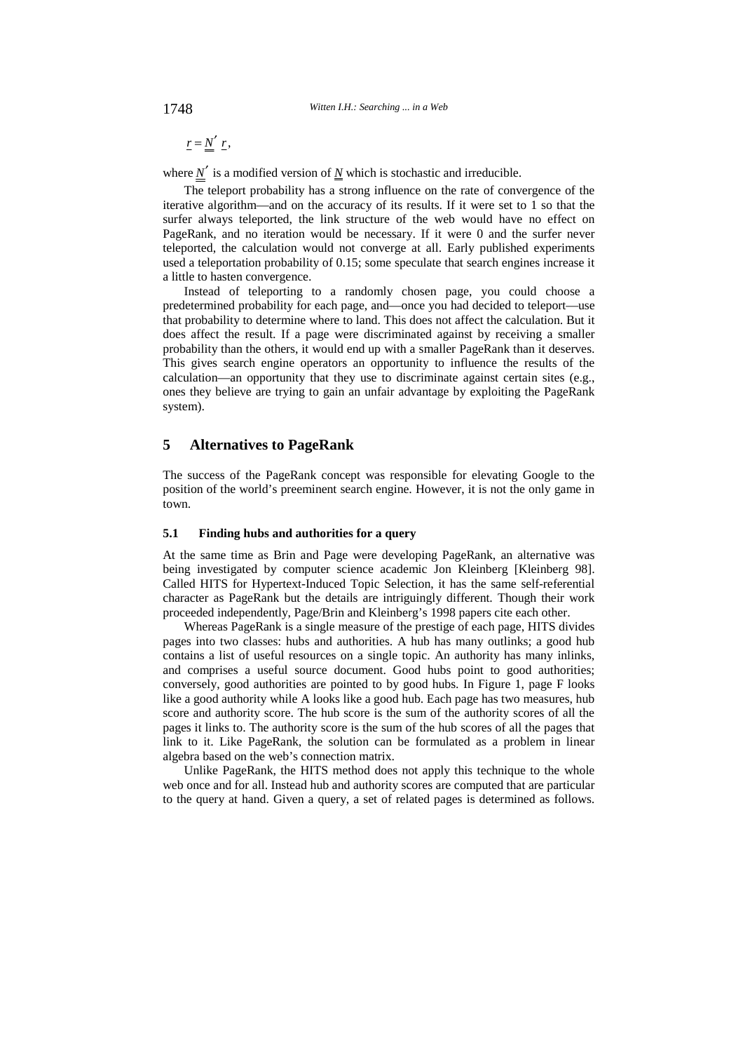$$
\underline{r} = \underline{N}' \underline{r},
$$

where  $N'$  is a modified version of  $N$  which is stochastic and irreducible.

The teleport probability has a strong influence on the rate of convergence of the iterative algorithm—and on the accuracy of its results. If it were set to 1 so that the surfer always teleported, the link structure of the web would have no effect on PageRank, and no iteration would be necessary. If it were 0 and the surfer never teleported, the calculation would not converge at all. Early published experiments used a teleportation probability of 0.15; some speculate that search engines increase it a little to hasten convergence.

Instead of teleporting to a randomly chosen page, you could choose a predetermined probability for each page, and—once you had decided to teleport—use that probability to determine where to land. This does not affect the calculation. But it does affect the result. If a page were discriminated against by receiving a smaller probability than the others, it would end up with a smaller PageRank than it deserves. This gives search engine operators an opportunity to influence the results of the calculation—an opportunity that they use to discriminate against certain sites (e.g., ones they believe are trying to gain an unfair advantage by exploiting the PageRank system).

## **5 Alternatives to PageRank**

The success of the PageRank concept was responsible for elevating Google to the position of the world's preeminent search engine. However, it is not the only game in town.

#### **5.1 Finding hubs and authorities for a query**

At the same time as Brin and Page were developing PageRank, an alternative was being investigated by computer science academic Jon Kleinberg [Kleinberg 98]. Called HITS for Hypertext-Induced Topic Selection, it has the same self-referential character as PageRank but the details are intriguingly different. Though their work proceeded independently, Page/Brin and Kleinberg's 1998 papers cite each other.

Whereas PageRank is a single measure of the prestige of each page, HITS divides pages into two classes: hubs and authorities. A hub has many outlinks; a good hub contains a list of useful resources on a single topic. An authority has many inlinks, and comprises a useful source document. Good hubs point to good authorities; conversely, good authorities are pointed to by good hubs. In Figure 1, page F looks like a good authority while A looks like a good hub. Each page has two measures, hub score and authority score. The hub score is the sum of the authority scores of all the pages it links to. The authority score is the sum of the hub scores of all the pages that link to it. Like PageRank, the solution can be formulated as a problem in linear algebra based on the web's connection matrix.

Unlike PageRank, the HITS method does not apply this technique to the whole web once and for all. Instead hub and authority scores are computed that are particular to the query at hand. Given a query, a set of related pages is determined as follows.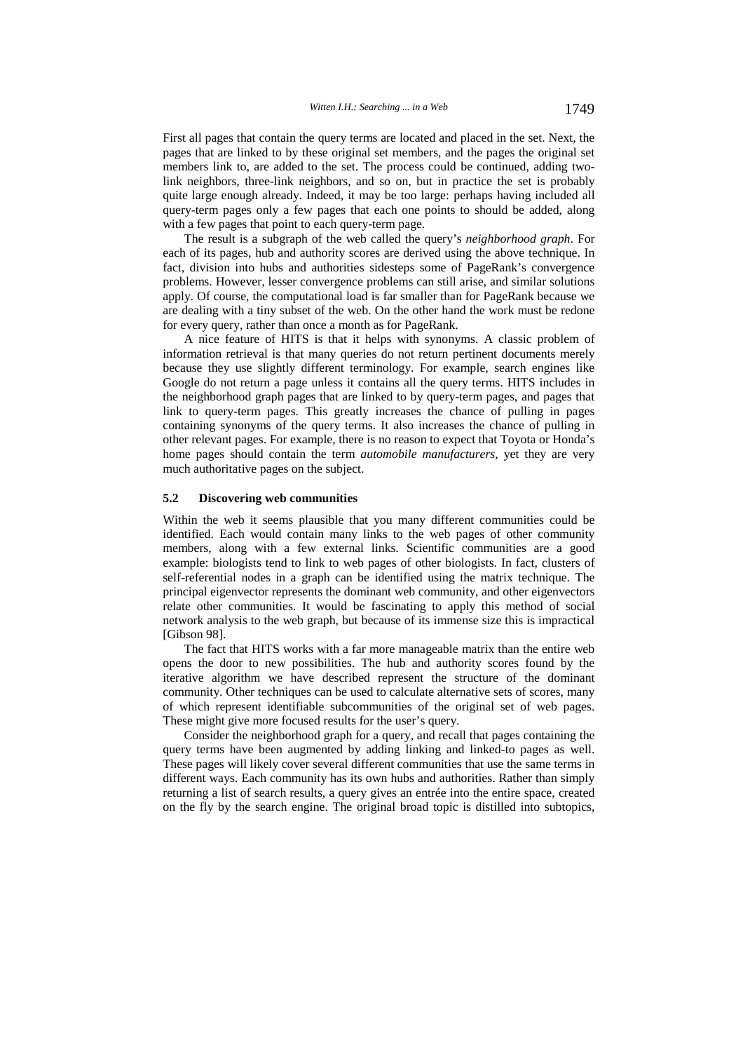First all pages that contain the query terms are located and placed in the set. Next, the pages that are linked to by these original set members, and the pages the original set members link to, are added to the set. The process could be continued, adding twolink neighbors, three-link neighbors, and so on, but in practice the set is probably quite large enough already. Indeed, it may be too large: perhaps having included all query-term pages only a few pages that each one points to should be added, along with a few pages that point to each query-term page.

The result is a subgraph of the web called the query's *neighborhood graph*. For each of its pages, hub and authority scores are derived using the above technique. In fact, division into hubs and authorities sidesteps some of PageRank's convergence problems. However, lesser convergence problems can still arise, and similar solutions apply. Of course, the computational load is far smaller than for PageRank because we are dealing with a tiny subset of the web. On the other hand the work must be redone for every query, rather than once a month as for PageRank.

A nice feature of HITS is that it helps with synonyms. A classic problem of information retrieval is that many queries do not return pertinent documents merely because they use slightly different terminology. For example, search engines like Google do not return a page unless it contains all the query terms. HITS includes in the neighborhood graph pages that are linked to by query-term pages, and pages that link to query-term pages. This greatly increases the chance of pulling in pages containing synonyms of the query terms. It also increases the chance of pulling in other relevant pages. For example, there is no reason to expect that Toyota or Honda's home pages should contain the term *automobile manufacturers*, yet they are very much authoritative pages on the subject.

#### **5.2 Discovering web communities**

Within the web it seems plausible that you many different communities could be identified. Each would contain many links to the web pages of other community members, along with a few external links. Scientific communities are a good example: biologists tend to link to web pages of other biologists. In fact, clusters of self-referential nodes in a graph can be identified using the matrix technique. The principal eigenvector represents the dominant web community, and other eigenvectors relate other communities. It would be fascinating to apply this method of social network analysis to the web graph, but because of its immense size this is impractical [Gibson 98].

The fact that HITS works with a far more manageable matrix than the entire web opens the door to new possibilities. The hub and authority scores found by the iterative algorithm we have described represent the structure of the dominant community. Other techniques can be used to calculate alternative sets of scores, many of which represent identifiable subcommunities of the original set of web pages. These might give more focused results for the user's query.

Consider the neighborhood graph for a query, and recall that pages containing the query terms have been augmented by adding linking and linked-to pages as well. These pages will likely cover several different communities that use the same terms in different ways. Each community has its own hubs and authorities. Rather than simply returning a list of search results, a query gives an entrée into the entire space, created on the fly by the search engine. The original broad topic is distilled into subtopics,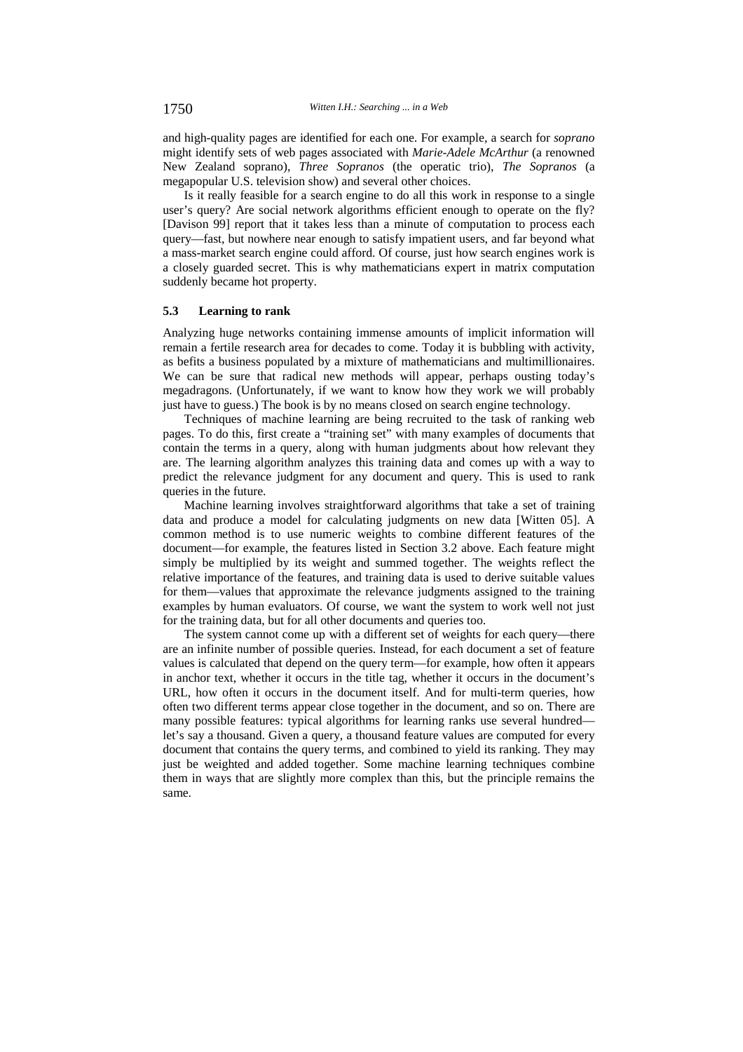and high-quality pages are identified for each one. For example, a search for *soprano*  might identify sets of web pages associated with *Marie-Adele McArthur* (a renowned New Zealand soprano), *Three Sopranos* (the operatic trio), *The Sopranos* (a megapopular U.S. television show) and several other choices.

Is it really feasible for a search engine to do all this work in response to a single user's query? Are social network algorithms efficient enough to operate on the fly? [Davison 99] report that it takes less than a minute of computation to process each query—fast, but nowhere near enough to satisfy impatient users, and far beyond what a mass-market search engine could afford. Of course, just how search engines work is a closely guarded secret. This is why mathematicians expert in matrix computation suddenly became hot property.

#### **5.3 Learning to rank**

Analyzing huge networks containing immense amounts of implicit information will remain a fertile research area for decades to come. Today it is bubbling with activity, as befits a business populated by a mixture of mathematicians and multimillionaires. We can be sure that radical new methods will appear, perhaps ousting today's megadragons. (Unfortunately, if we want to know how they work we will probably just have to guess.) The book is by no means closed on search engine technology.

Techniques of machine learning are being recruited to the task of ranking web pages. To do this, first create a "training set" with many examples of documents that contain the terms in a query, along with human judgments about how relevant they are. The learning algorithm analyzes this training data and comes up with a way to predict the relevance judgment for any document and query. This is used to rank queries in the future.

Machine learning involves straightforward algorithms that take a set of training data and produce a model for calculating judgments on new data [Witten 05]. A common method is to use numeric weights to combine different features of the document—for example, the features listed in Section 3.2 above. Each feature might simply be multiplied by its weight and summed together. The weights reflect the relative importance of the features, and training data is used to derive suitable values for them—values that approximate the relevance judgments assigned to the training examples by human evaluators. Of course, we want the system to work well not just for the training data, but for all other documents and queries too.

The system cannot come up with a different set of weights for each query—there are an infinite number of possible queries. Instead, for each document a set of feature values is calculated that depend on the query term—for example, how often it appears in anchor text, whether it occurs in the title tag, whether it occurs in the document's URL, how often it occurs in the document itself. And for multi-term queries, how often two different terms appear close together in the document, and so on. There are many possible features: typical algorithms for learning ranks use several hundred let's say a thousand. Given a query, a thousand feature values are computed for every document that contains the query terms, and combined to yield its ranking. They may just be weighted and added together. Some machine learning techniques combine them in ways that are slightly more complex than this, but the principle remains the same.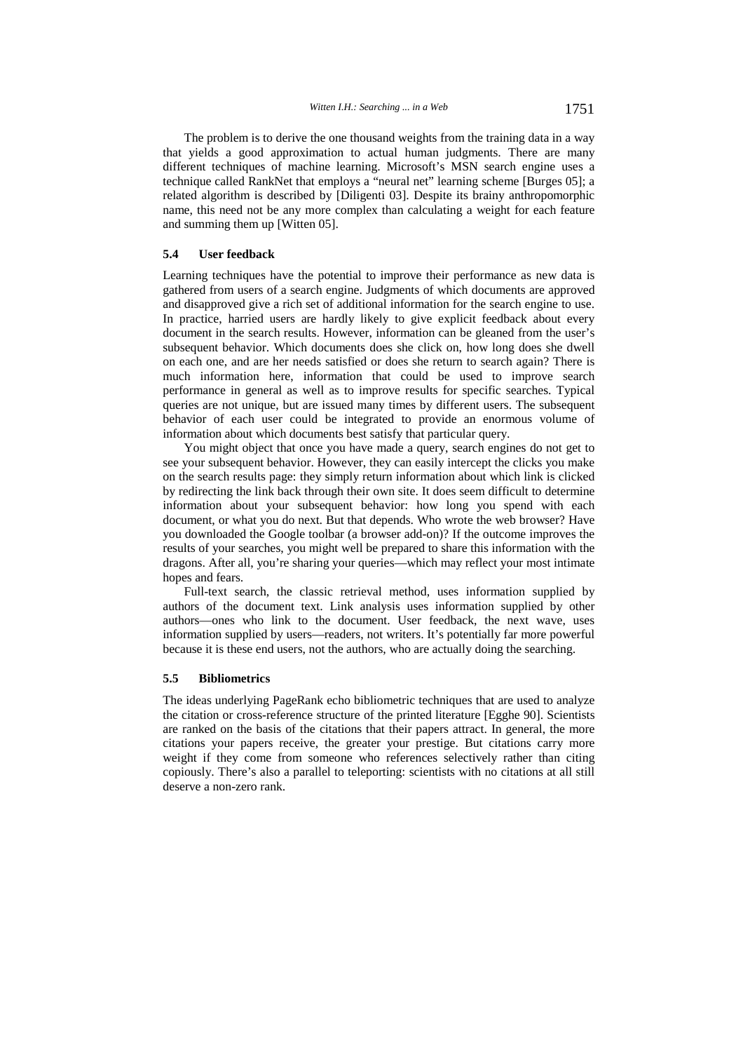The problem is to derive the one thousand weights from the training data in a way that yields a good approximation to actual human judgments. There are many different techniques of machine learning. Microsoft's MSN search engine uses a technique called RankNet that employs a "neural net" learning scheme [Burges 05]; a related algorithm is described by [Diligenti 03]. Despite its brainy anthropomorphic name, this need not be any more complex than calculating a weight for each feature and summing them up [Witten 05].

## **5.4 User feedback**

Learning techniques have the potential to improve their performance as new data is gathered from users of a search engine. Judgments of which documents are approved and disapproved give a rich set of additional information for the search engine to use. In practice, harried users are hardly likely to give explicit feedback about every document in the search results. However, information can be gleaned from the user's subsequent behavior. Which documents does she click on, how long does she dwell on each one, and are her needs satisfied or does she return to search again? There is much information here, information that could be used to improve search performance in general as well as to improve results for specific searches. Typical queries are not unique, but are issued many times by different users. The subsequent behavior of each user could be integrated to provide an enormous volume of information about which documents best satisfy that particular query.

You might object that once you have made a query, search engines do not get to see your subsequent behavior. However, they can easily intercept the clicks you make on the search results page: they simply return information about which link is clicked by redirecting the link back through their own site. It does seem difficult to determine information about your subsequent behavior: how long you spend with each document, or what you do next. But that depends. Who wrote the web browser? Have you downloaded the Google toolbar (a browser add-on)? If the outcome improves the results of your searches, you might well be prepared to share this information with the dragons. After all, you're sharing your queries—which may reflect your most intimate hopes and fears.

Full-text search, the classic retrieval method, uses information supplied by authors of the document text. Link analysis uses information supplied by other authors—ones who link to the document. User feedback, the next wave, uses information supplied by users—readers, not writers. It's potentially far more powerful because it is these end users, not the authors, who are actually doing the searching.

## **5.5 Bibliometrics**

The ideas underlying PageRank echo bibliometric techniques that are used to analyze the citation or cross-reference structure of the printed literature [Egghe 90]. Scientists are ranked on the basis of the citations that their papers attract. In general, the more citations your papers receive, the greater your prestige. But citations carry more weight if they come from someone who references selectively rather than citing copiously. There's also a parallel to teleporting: scientists with no citations at all still deserve a non-zero rank.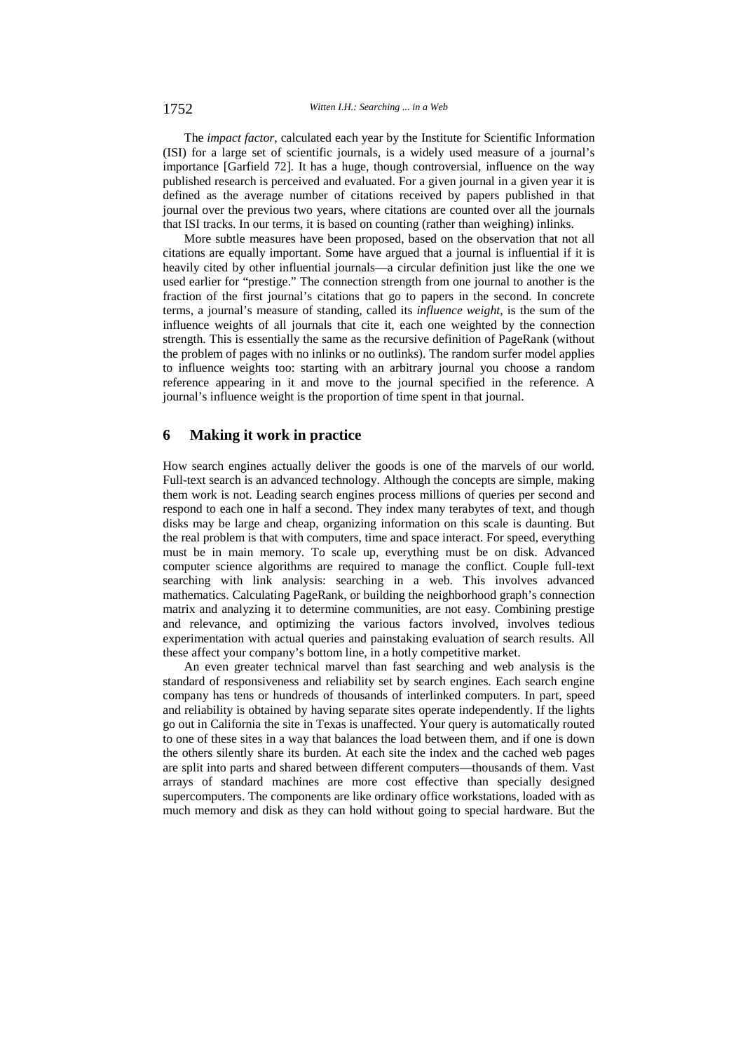The *impact factor*, calculated each year by the Institute for Scientific Information (ISI) for a large set of scientific journals, is a widely used measure of a journal's importance [Garfield 72]. It has a huge, though controversial, influence on the way published research is perceived and evaluated. For a given journal in a given year it is defined as the average number of citations received by papers published in that journal over the previous two years, where citations are counted over all the journals that ISI tracks. In our terms, it is based on counting (rather than weighing) inlinks.

More subtle measures have been proposed, based on the observation that not all citations are equally important. Some have argued that a journal is influential if it is heavily cited by other influential journals—a circular definition just like the one we used earlier for "prestige." The connection strength from one journal to another is the fraction of the first journal's citations that go to papers in the second. In concrete terms, a journal's measure of standing, called its *influence weight*, is the sum of the influence weights of all journals that cite it, each one weighted by the connection strength. This is essentially the same as the recursive definition of PageRank (without the problem of pages with no inlinks or no outlinks). The random surfer model applies to influence weights too: starting with an arbitrary journal you choose a random reference appearing in it and move to the journal specified in the reference. A journal's influence weight is the proportion of time spent in that journal.

## **6 Making it work in practice**

How search engines actually deliver the goods is one of the marvels of our world. Full-text search is an advanced technology. Although the concepts are simple, making them work is not. Leading search engines process millions of queries per second and respond to each one in half a second. They index many terabytes of text, and though disks may be large and cheap, organizing information on this scale is daunting. But the real problem is that with computers, time and space interact. For speed, everything must be in main memory. To scale up, everything must be on disk. Advanced computer science algorithms are required to manage the conflict. Couple full-text searching with link analysis: searching in a web. This involves advanced mathematics. Calculating PageRank, or building the neighborhood graph's connection matrix and analyzing it to determine communities, are not easy. Combining prestige and relevance, and optimizing the various factors involved, involves tedious experimentation with actual queries and painstaking evaluation of search results. All these affect your company's bottom line, in a hotly competitive market.

An even greater technical marvel than fast searching and web analysis is the standard of responsiveness and reliability set by search engines. Each search engine company has tens or hundreds of thousands of interlinked computers. In part, speed and reliability is obtained by having separate sites operate independently. If the lights go out in California the site in Texas is unaffected. Your query is automatically routed to one of these sites in a way that balances the load between them, and if one is down the others silently share its burden. At each site the index and the cached web pages are split into parts and shared between different computers—thousands of them. Vast arrays of standard machines are more cost effective than specially designed supercomputers. The components are like ordinary office workstations, loaded with as much memory and disk as they can hold without going to special hardware. But the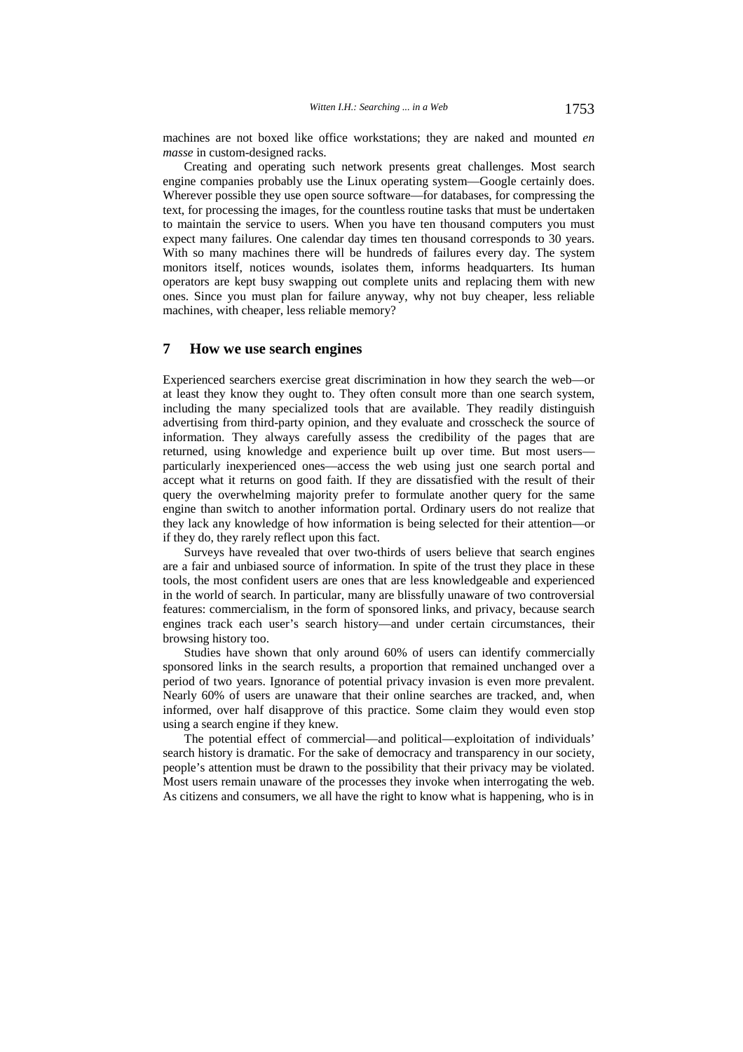machines are not boxed like office workstations; they are naked and mounted *en masse* in custom-designed racks.

Creating and operating such network presents great challenges. Most search engine companies probably use the Linux operating system—Google certainly does. Wherever possible they use open source software—for databases, for compressing the text, for processing the images, for the countless routine tasks that must be undertaken to maintain the service to users. When you have ten thousand computers you must expect many failures. One calendar day times ten thousand corresponds to 30 years. With so many machines there will be hundreds of failures every day. The system monitors itself, notices wounds, isolates them, informs headquarters. Its human operators are kept busy swapping out complete units and replacing them with new ones. Since you must plan for failure anyway, why not buy cheaper, less reliable machines, with cheaper, less reliable memory?

## **7 How we use search engines**

Experienced searchers exercise great discrimination in how they search the web—or at least they know they ought to. They often consult more than one search system, including the many specialized tools that are available. They readily distinguish advertising from third-party opinion, and they evaluate and crosscheck the source of information. They always carefully assess the credibility of the pages that are returned, using knowledge and experience built up over time. But most users particularly inexperienced ones—access the web using just one search portal and accept what it returns on good faith. If they are dissatisfied with the result of their query the overwhelming majority prefer to formulate another query for the same engine than switch to another information portal. Ordinary users do not realize that they lack any knowledge of how information is being selected for their attention—or if they do, they rarely reflect upon this fact.

Surveys have revealed that over two-thirds of users believe that search engines are a fair and unbiased source of information. In spite of the trust they place in these tools, the most confident users are ones that are less knowledgeable and experienced in the world of search. In particular, many are blissfully unaware of two controversial features: commercialism, in the form of sponsored links, and privacy, because search engines track each user's search history—and under certain circumstances, their browsing history too.

Studies have shown that only around 60% of users can identify commercially sponsored links in the search results, a proportion that remained unchanged over a period of two years. Ignorance of potential privacy invasion is even more prevalent. Nearly 60% of users are unaware that their online searches are tracked, and, when informed, over half disapprove of this practice. Some claim they would even stop using a search engine if they knew.

The potential effect of commercial—and political—exploitation of individuals' search history is dramatic. For the sake of democracy and transparency in our society, people's attention must be drawn to the possibility that their privacy may be violated. Most users remain unaware of the processes they invoke when interrogating the web. As citizens and consumers, we all have the right to know what is happening, who is in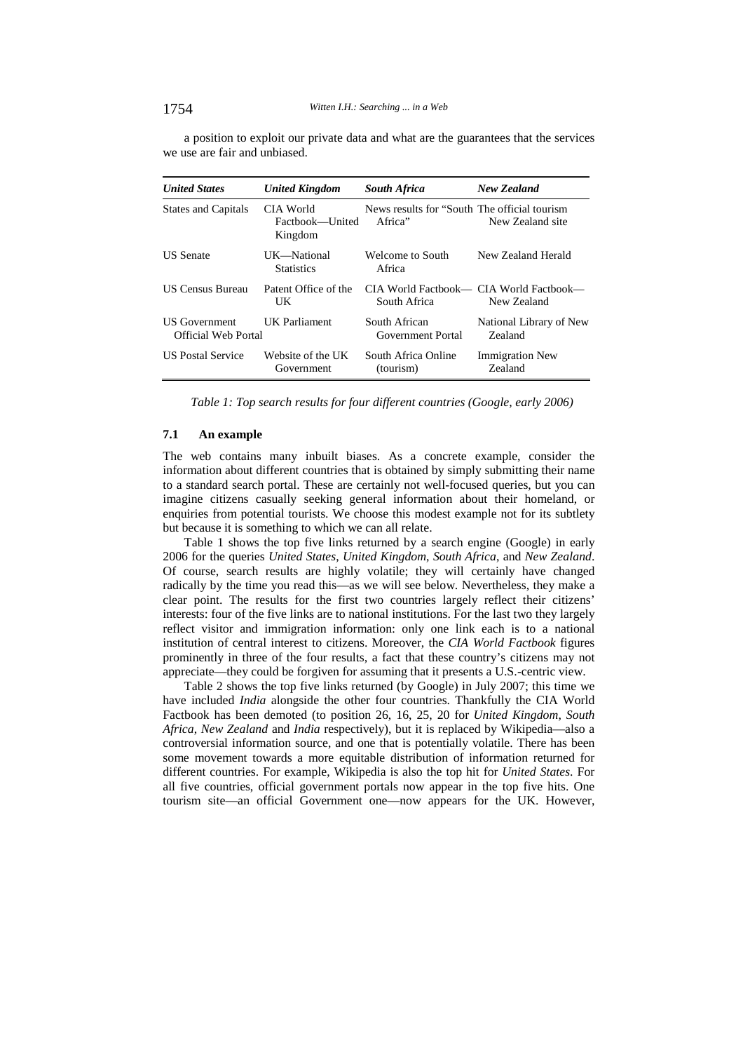a position to exploit our private data and what are the guarantees that the services we use are fair and unbiased.

| <b>United States</b>                        | <b>United Kingdom</b>                   | <b>South Africa</b>                                      | New Zealand                                            |
|---------------------------------------------|-----------------------------------------|----------------------------------------------------------|--------------------------------------------------------|
| <b>States and Capitals</b>                  | CIA World<br>Factbook—United<br>Kingdom | News results for "South The official tourism"<br>Africa" | New Zealand site                                       |
| <b>US</b> Senate                            | UK-National<br><b>Statistics</b>        | Welcome to South<br>Africa                               | New Zealand Herald                                     |
| <b>US Census Bureau</b>                     | Patent Office of the<br>UK              | South Africa                                             | CIA World Factbook— CIA World Factbook—<br>New Zealand |
| <b>US</b> Government<br>Official Web Portal | <b>UK</b> Parliament                    | South African<br>Government Portal                       | National Library of New<br>Zealand                     |
| <b>US Postal Service</b>                    | Website of the UK<br>Government         | South Africa Online<br>(tourism)                         | <b>Immigration New</b><br>Zealand                      |

*Table 1: Top search results for four different countries (Google, early 2006)* 

## **7.1 An example**

The web contains many inbuilt biases. As a concrete example, consider the information about different countries that is obtained by simply submitting their name to a standard search portal. These are certainly not well-focused queries, but you can imagine citizens casually seeking general information about their homeland, or enquiries from potential tourists. We choose this modest example not for its subtlety but because it is something to which we can all relate.

Table 1 shows the top five links returned by a search engine (Google) in early 2006 for the queries *United States*, *United Kingdom*, *South Africa*, and *New Zealand*. Of course, search results are highly volatile; they will certainly have changed radically by the time you read this—as we will see below. Nevertheless, they make a clear point. The results for the first two countries largely reflect their citizens' interests: four of the five links are to national institutions. For the last two they largely reflect visitor and immigration information: only one link each is to a national institution of central interest to citizens. Moreover, the *CIA World Factbook* figures prominently in three of the four results, a fact that these country's citizens may not appreciate—they could be forgiven for assuming that it presents a U.S.-centric view.

Table 2 shows the top five links returned (by Google) in July 2007; this time we have included *India* alongside the other four countries. Thankfully the CIA World Factbook has been demoted (to position 26, 16, 25, 20 for *United Kingdom*, *South Africa*, *New Zealand* and *India* respectively), but it is replaced by Wikipedia—also a controversial information source, and one that is potentially volatile. There has been some movement towards a more equitable distribution of information returned for different countries. For example, Wikipedia is also the top hit for *United States*. For all five countries, official government portals now appear in the top five hits. One tourism site—an official Government one—now appears for the UK. However,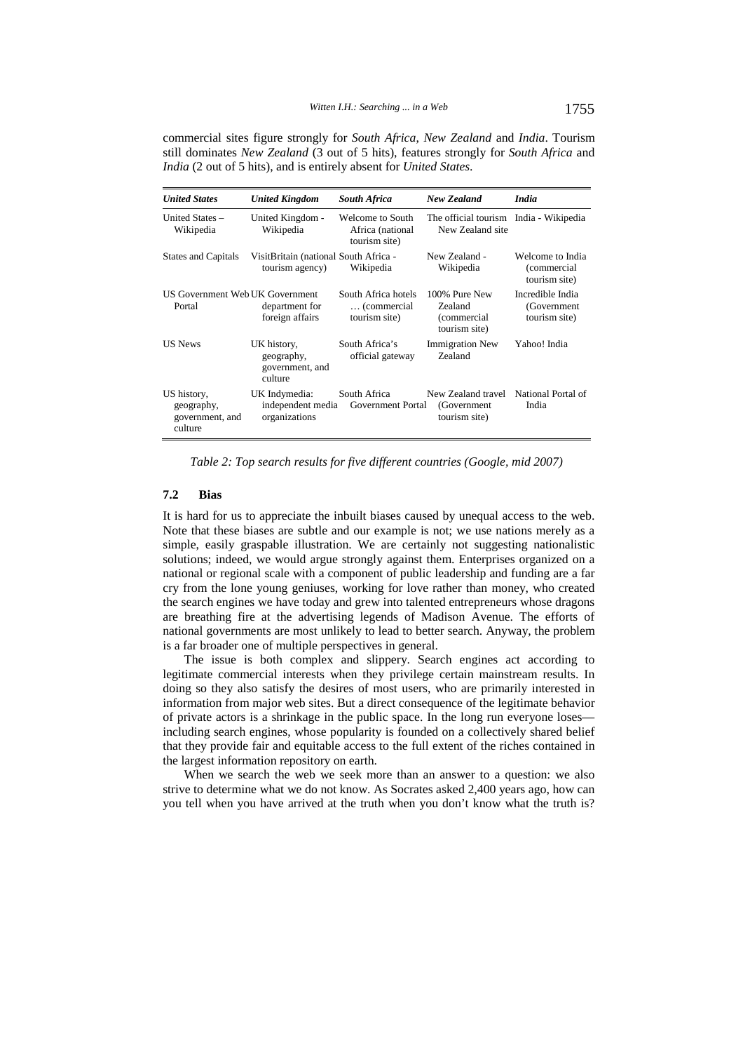commercial sites figure strongly for *South Africa*, *New Zealand* and *India*. Tourism still dominates *New Zealand* (3 out of 5 hits), features strongly for *South Africa* and *India* (2 out of 5 hits), and is entirely absent for *United States*.

| <b>United States</b>                                    | <b>United Kingdom</b>                                    | <b>South Africa</b>                                   | <b>New Zealand</b>                                               | <b>India</b>                                      |
|---------------------------------------------------------|----------------------------------------------------------|-------------------------------------------------------|------------------------------------------------------------------|---------------------------------------------------|
| United States $-$<br>Wikipedia                          | United Kingdom -<br>Wikipedia                            | Welcome to South<br>Africa (national<br>tourism site) | The official tourism India - Wikipedia<br>New Zealand site       |                                                   |
| <b>States and Capitals</b>                              | VisitBritain (national South Africa -<br>tourism agency) | Wikipedia                                             | New Zealand -<br>Wikipedia                                       | Welcome to India<br>(commercial)<br>tourism site) |
| US Government Web UK Government<br>Portal               | department for<br>foreign affairs                        | South Africa hotels<br>(commercial<br>tourism site)   | 100% Pure New<br>Zealand<br><i>(commercial)</i><br>tourism site) | Incredible India<br>(Government)<br>tourism site) |
| <b>US News</b>                                          | UK history,<br>geography,<br>government, and<br>culture  | South Africa's<br>official gateway                    | <b>Immigration New</b><br>Zealand                                | Yahoo! India                                      |
| US history,<br>geography,<br>government, and<br>culture | UK Indymedia:<br>independent media<br>organizations      | South Africa<br>Government Portal                     | New Zealand travel<br>(Government)<br>tourism site)              | National Portal of<br>India                       |

*Table 2: Top search results for five different countries (Google, mid 2007)* 

## **7.2 Bias**

It is hard for us to appreciate the inbuilt biases caused by unequal access to the web. Note that these biases are subtle and our example is not; we use nations merely as a simple, easily graspable illustration. We are certainly not suggesting nationalistic solutions; indeed, we would argue strongly against them. Enterprises organized on a national or regional scale with a component of public leadership and funding are a far cry from the lone young geniuses, working for love rather than money, who created the search engines we have today and grew into talented entrepreneurs whose dragons are breathing fire at the advertising legends of Madison Avenue. The efforts of national governments are most unlikely to lead to better search. Anyway, the problem is a far broader one of multiple perspectives in general.

The issue is both complex and slippery. Search engines act according to legitimate commercial interests when they privilege certain mainstream results. In doing so they also satisfy the desires of most users, who are primarily interested in information from major web sites. But a direct consequence of the legitimate behavior of private actors is a shrinkage in the public space. In the long run everyone loses including search engines, whose popularity is founded on a collectively shared belief that they provide fair and equitable access to the full extent of the riches contained in the largest information repository on earth.

When we search the web we seek more than an answer to a question: we also strive to determine what we do not know. As Socrates asked 2,400 years ago, how can you tell when you have arrived at the truth when you don't know what the truth is?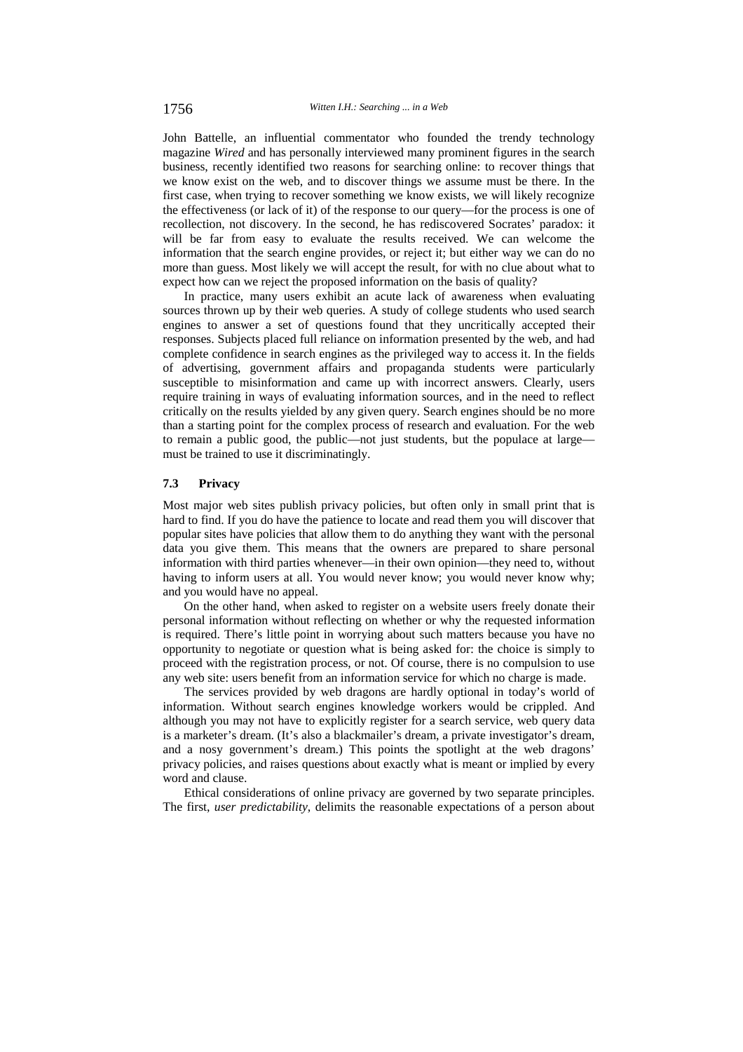John Battelle, an influential commentator who founded the trendy technology magazine *Wired* and has personally interviewed many prominent figures in the search business, recently identified two reasons for searching online: to recover things that we know exist on the web, and to discover things we assume must be there. In the first case, when trying to recover something we know exists, we will likely recognize the effectiveness (or lack of it) of the response to our query—for the process is one of recollection, not discovery. In the second, he has rediscovered Socrates' paradox: it will be far from easy to evaluate the results received. We can welcome the information that the search engine provides, or reject it; but either way we can do no more than guess. Most likely we will accept the result, for with no clue about what to expect how can we reject the proposed information on the basis of quality?

In practice, many users exhibit an acute lack of awareness when evaluating sources thrown up by their web queries. A study of college students who used search engines to answer a set of questions found that they uncritically accepted their responses. Subjects placed full reliance on information presented by the web, and had complete confidence in search engines as the privileged way to access it. In the fields of advertising, government affairs and propaganda students were particularly susceptible to misinformation and came up with incorrect answers. Clearly, users require training in ways of evaluating information sources, and in the need to reflect critically on the results yielded by any given query. Search engines should be no more than a starting point for the complex process of research and evaluation. For the web to remain a public good, the public—not just students, but the populace at large must be trained to use it discriminatingly.

## **7.3 Privacy**

Most major web sites publish privacy policies, but often only in small print that is hard to find. If you do have the patience to locate and read them you will discover that popular sites have policies that allow them to do anything they want with the personal data you give them. This means that the owners are prepared to share personal information with third parties whenever—in their own opinion—they need to, without having to inform users at all. You would never know; you would never know why; and you would have no appeal.

On the other hand, when asked to register on a website users freely donate their personal information without reflecting on whether or why the requested information is required. There's little point in worrying about such matters because you have no opportunity to negotiate or question what is being asked for: the choice is simply to proceed with the registration process, or not. Of course, there is no compulsion to use any web site: users benefit from an information service for which no charge is made.

The services provided by web dragons are hardly optional in today's world of information. Without search engines knowledge workers would be crippled. And although you may not have to explicitly register for a search service, web query data is a marketer's dream. (It's also a blackmailer's dream, a private investigator's dream, and a nosy government's dream.) This points the spotlight at the web dragons' privacy policies, and raises questions about exactly what is meant or implied by every word and clause.

Ethical considerations of online privacy are governed by two separate principles. The first, *user predictability*, delimits the reasonable expectations of a person about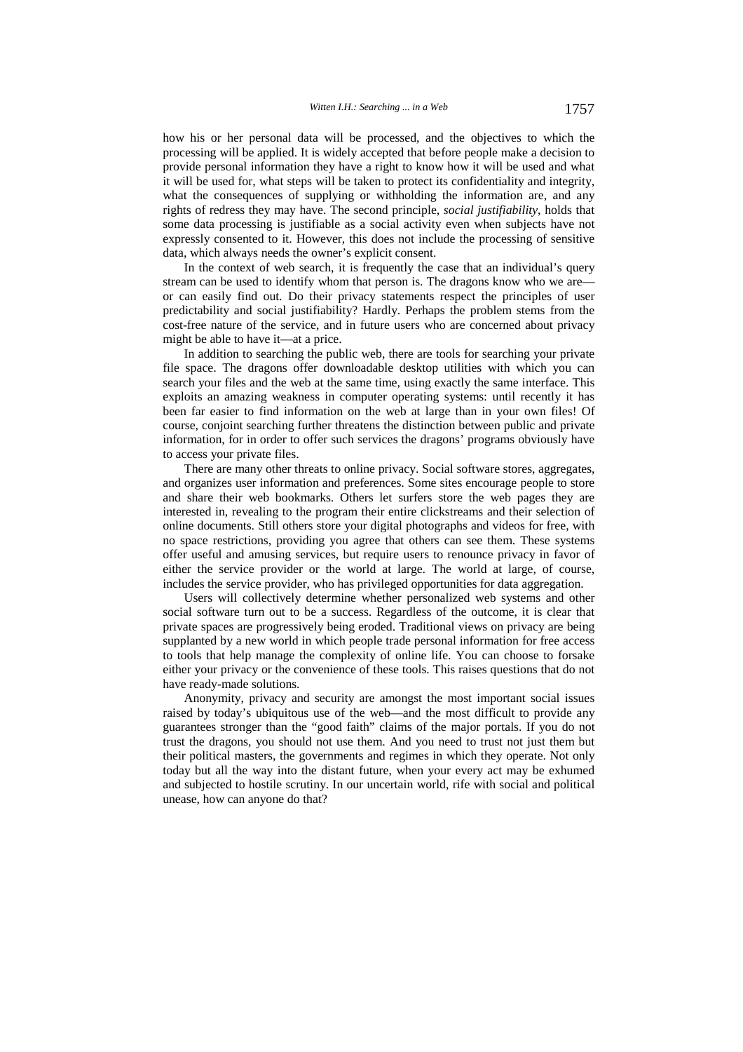how his or her personal data will be processed, and the objectives to which the processing will be applied. It is widely accepted that before people make a decision to provide personal information they have a right to know how it will be used and what it will be used for, what steps will be taken to protect its confidentiality and integrity, what the consequences of supplying or withholding the information are, and any rights of redress they may have. The second principle, *social justifiability*, holds that some data processing is justifiable as a social activity even when subjects have not expressly consented to it. However, this does not include the processing of sensitive data, which always needs the owner's explicit consent.

In the context of web search, it is frequently the case that an individual's query stream can be used to identify whom that person is. The dragons know who we are or can easily find out. Do their privacy statements respect the principles of user predictability and social justifiability? Hardly. Perhaps the problem stems from the cost-free nature of the service, and in future users who are concerned about privacy might be able to have it—at a price.

In addition to searching the public web, there are tools for searching your private file space. The dragons offer downloadable desktop utilities with which you can search your files and the web at the same time, using exactly the same interface. This exploits an amazing weakness in computer operating systems: until recently it has been far easier to find information on the web at large than in your own files! Of course, conjoint searching further threatens the distinction between public and private information, for in order to offer such services the dragons' programs obviously have to access your private files.

There are many other threats to online privacy. Social software stores, aggregates, and organizes user information and preferences. Some sites encourage people to store and share their web bookmarks. Others let surfers store the web pages they are interested in, revealing to the program their entire clickstreams and their selection of online documents. Still others store your digital photographs and videos for free, with no space restrictions, providing you agree that others can see them. These systems offer useful and amusing services, but require users to renounce privacy in favor of either the service provider or the world at large. The world at large, of course, includes the service provider, who has privileged opportunities for data aggregation.

Users will collectively determine whether personalized web systems and other social software turn out to be a success. Regardless of the outcome, it is clear that private spaces are progressively being eroded. Traditional views on privacy are being supplanted by a new world in which people trade personal information for free access to tools that help manage the complexity of online life. You can choose to forsake either your privacy or the convenience of these tools. This raises questions that do not have ready-made solutions.

Anonymity, privacy and security are amongst the most important social issues raised by today's ubiquitous use of the web—and the most difficult to provide any guarantees stronger than the "good faith" claims of the major portals. If you do not trust the dragons, you should not use them. And you need to trust not just them but their political masters, the governments and regimes in which they operate. Not only today but all the way into the distant future, when your every act may be exhumed and subjected to hostile scrutiny. In our uncertain world, rife with social and political unease, how can anyone do that?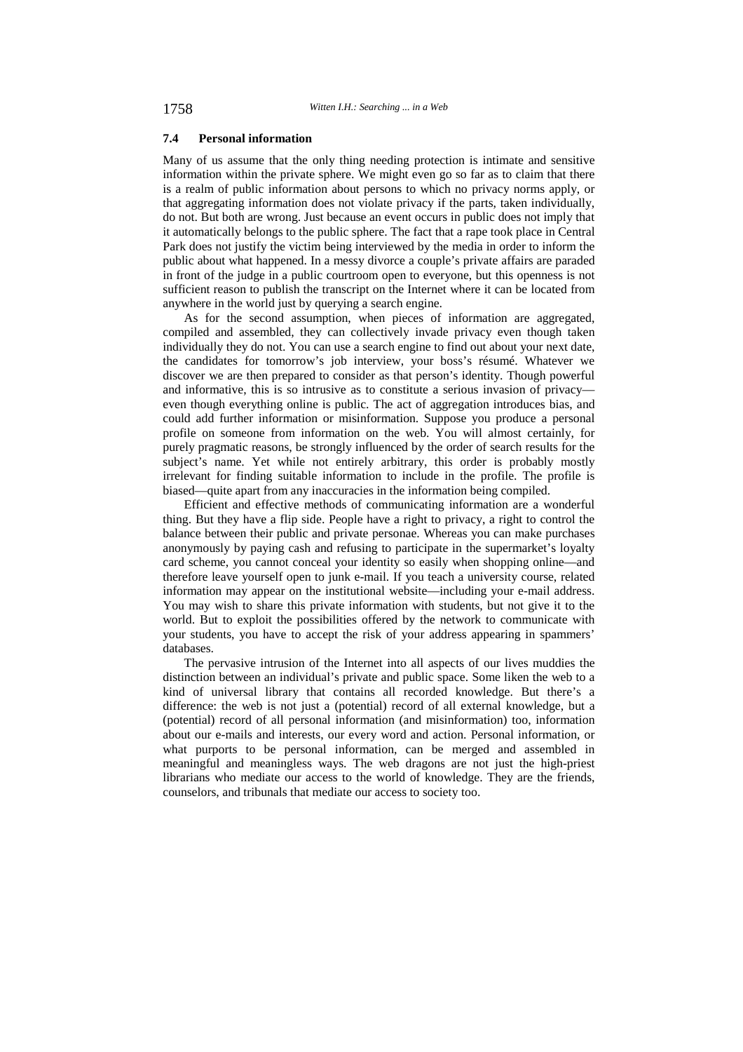## **7.4 Personal information**

Many of us assume that the only thing needing protection is intimate and sensitive information within the private sphere. We might even go so far as to claim that there is a realm of public information about persons to which no privacy norms apply, or that aggregating information does not violate privacy if the parts, taken individually, do not. But both are wrong. Just because an event occurs in public does not imply that it automatically belongs to the public sphere. The fact that a rape took place in Central Park does not justify the victim being interviewed by the media in order to inform the public about what happened. In a messy divorce a couple's private affairs are paraded in front of the judge in a public courtroom open to everyone, but this openness is not sufficient reason to publish the transcript on the Internet where it can be located from anywhere in the world just by querying a search engine.

As for the second assumption, when pieces of information are aggregated, compiled and assembled, they can collectively invade privacy even though taken individually they do not. You can use a search engine to find out about your next date, the candidates for tomorrow's job interview, your boss's résumé. Whatever we discover we are then prepared to consider as that person's identity. Though powerful and informative, this is so intrusive as to constitute a serious invasion of privacy even though everything online is public. The act of aggregation introduces bias, and could add further information or misinformation. Suppose you produce a personal profile on someone from information on the web. You will almost certainly, for purely pragmatic reasons, be strongly influenced by the order of search results for the subject's name. Yet while not entirely arbitrary, this order is probably mostly irrelevant for finding suitable information to include in the profile. The profile is biased—quite apart from any inaccuracies in the information being compiled.

Efficient and effective methods of communicating information are a wonderful thing. But they have a flip side. People have a right to privacy, a right to control the balance between their public and private personae. Whereas you can make purchases anonymously by paying cash and refusing to participate in the supermarket's loyalty card scheme, you cannot conceal your identity so easily when shopping online—and therefore leave yourself open to junk e-mail. If you teach a university course, related information may appear on the institutional website—including your e-mail address. You may wish to share this private information with students, but not give it to the world. But to exploit the possibilities offered by the network to communicate with your students, you have to accept the risk of your address appearing in spammers' databases.

The pervasive intrusion of the Internet into all aspects of our lives muddies the distinction between an individual's private and public space. Some liken the web to a kind of universal library that contains all recorded knowledge. But there's a difference: the web is not just a (potential) record of all external knowledge, but a (potential) record of all personal information (and misinformation) too, information about our e-mails and interests, our every word and action. Personal information, or what purports to be personal information, can be merged and assembled in meaningful and meaningless ways. The web dragons are not just the high-priest librarians who mediate our access to the world of knowledge. They are the friends, counselors, and tribunals that mediate our access to society too.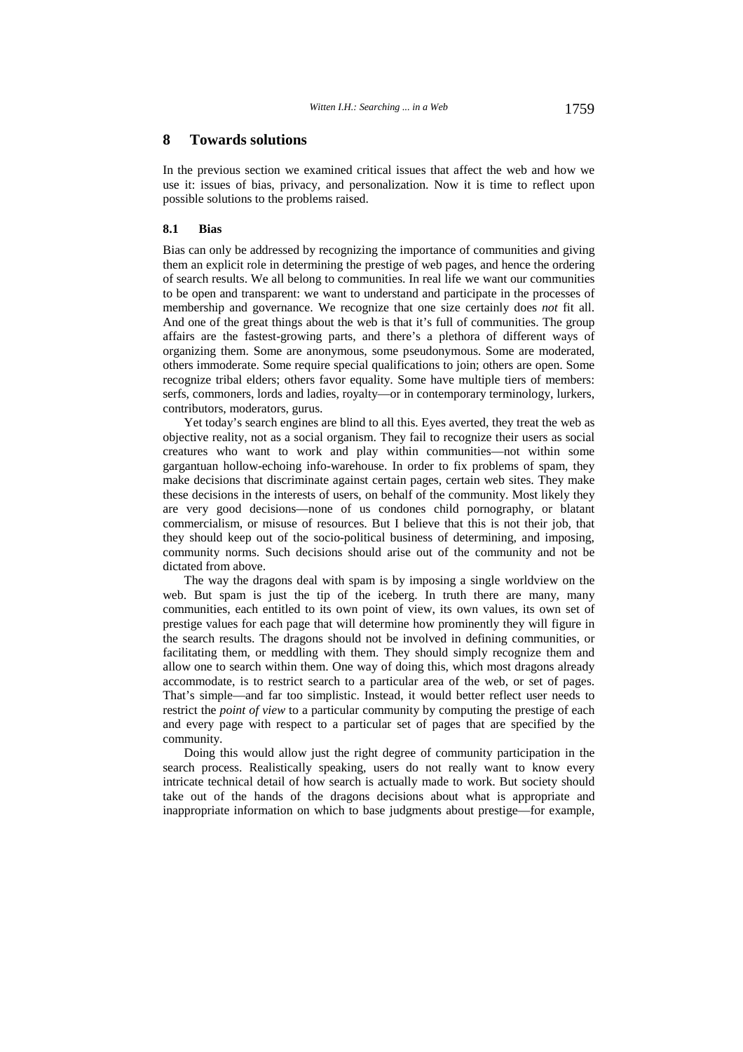## **8 Towards solutions**

In the previous section we examined critical issues that affect the web and how we use it: issues of bias, privacy, and personalization. Now it is time to reflect upon possible solutions to the problems raised.

## **8.1 Bias**

Bias can only be addressed by recognizing the importance of communities and giving them an explicit role in determining the prestige of web pages, and hence the ordering of search results. We all belong to communities. In real life we want our communities to be open and transparent: we want to understand and participate in the processes of membership and governance. We recognize that one size certainly does *not* fit all. And one of the great things about the web is that it's full of communities. The group affairs are the fastest-growing parts, and there's a plethora of different ways of organizing them. Some are anonymous, some pseudonymous. Some are moderated, others immoderate. Some require special qualifications to join; others are open. Some recognize tribal elders; others favor equality. Some have multiple tiers of members: serfs, commoners, lords and ladies, royalty—or in contemporary terminology, lurkers, contributors, moderators, gurus.

Yet today's search engines are blind to all this. Eyes averted, they treat the web as objective reality, not as a social organism. They fail to recognize their users as social creatures who want to work and play within communities—not within some gargantuan hollow-echoing info-warehouse. In order to fix problems of spam, they make decisions that discriminate against certain pages, certain web sites. They make these decisions in the interests of users, on behalf of the community. Most likely they are very good decisions—none of us condones child pornography, or blatant commercialism, or misuse of resources. But I believe that this is not their job, that they should keep out of the socio-political business of determining, and imposing, community norms. Such decisions should arise out of the community and not be dictated from above.

The way the dragons deal with spam is by imposing a single worldview on the web. But spam is just the tip of the iceberg. In truth there are many, many communities, each entitled to its own point of view, its own values, its own set of prestige values for each page that will determine how prominently they will figure in the search results. The dragons should not be involved in defining communities, or facilitating them, or meddling with them. They should simply recognize them and allow one to search within them. One way of doing this, which most dragons already accommodate, is to restrict search to a particular area of the web, or set of pages. That's simple—and far too simplistic. Instead, it would better reflect user needs to restrict the *point of view* to a particular community by computing the prestige of each and every page with respect to a particular set of pages that are specified by the community.

Doing this would allow just the right degree of community participation in the search process. Realistically speaking, users do not really want to know every intricate technical detail of how search is actually made to work. But society should take out of the hands of the dragons decisions about what is appropriate and inappropriate information on which to base judgments about prestige—for example,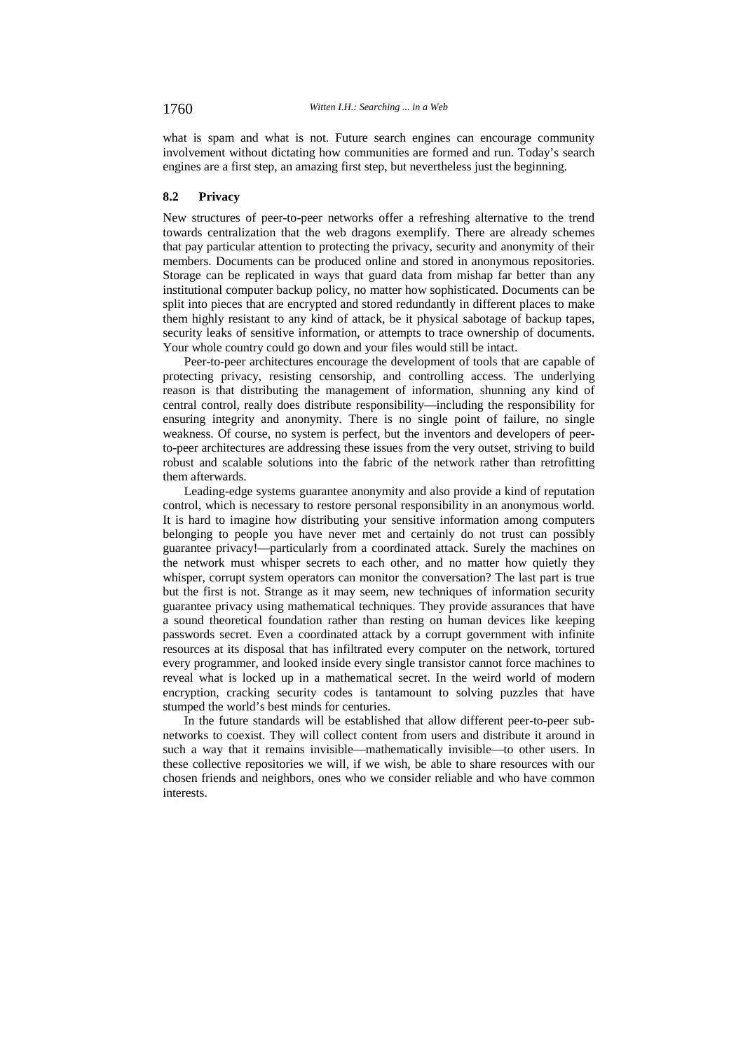what is spam and what is not. Future search engines can encourage community involvement without dictating how communities are formed and run. Today's search engines are a first step, an amazing first step, but nevertheless just the beginning.

#### **8.2 Privacy**

New structures of peer-to-peer networks offer a refreshing alternative to the trend towards centralization that the web dragons exemplify. There are already schemes that pay particular attention to protecting the privacy, security and anonymity of their members. Documents can be produced online and stored in anonymous repositories. Storage can be replicated in ways that guard data from mishap far better than any institutional computer backup policy, no matter how sophisticated. Documents can be split into pieces that are encrypted and stored redundantly in different places to make them highly resistant to any kind of attack, be it physical sabotage of backup tapes, security leaks of sensitive information, or attempts to trace ownership of documents. Your whole country could go down and your files would still be intact.

Peer-to-peer architectures encourage the development of tools that are capable of protecting privacy, resisting censorship, and controlling access. The underlying reason is that distributing the management of information, shunning any kind of central control, really does distribute responsibility—including the responsibility for ensuring integrity and anonymity. There is no single point of failure, no single weakness. Of course, no system is perfect, but the inventors and developers of peerto-peer architectures are addressing these issues from the very outset, striving to build robust and scalable solutions into the fabric of the network rather than retrofitting them afterwards.

Leading-edge systems guarantee anonymity and also provide a kind of reputation control, which is necessary to restore personal responsibility in an anonymous world. It is hard to imagine how distributing your sensitive information among computers belonging to people you have never met and certainly do not trust can possibly guarantee privacy!—particularly from a coordinated attack. Surely the machines on the network must whisper secrets to each other, and no matter how quietly they whisper, corrupt system operators can monitor the conversation? The last part is true but the first is not. Strange as it may seem, new techniques of information security guarantee privacy using mathematical techniques. They provide assurances that have a sound theoretical foundation rather than resting on human devices like keeping passwords secret. Even a coordinated attack by a corrupt government with infinite resources at its disposal that has infiltrated every computer on the network, tortured every programmer, and looked inside every single transistor cannot force machines to reveal what is locked up in a mathematical secret. In the weird world of modern encryption, cracking security codes is tantamount to solving puzzles that have stumped the world's best minds for centuries.

In the future standards will be established that allow different peer-to-peer subnetworks to coexist. They will collect content from users and distribute it around in such a way that it remains invisible—mathematically invisible—to other users. In these collective repositories we will, if we wish, be able to share resources with our chosen friends and neighbors, ones who we consider reliable and who have common interests.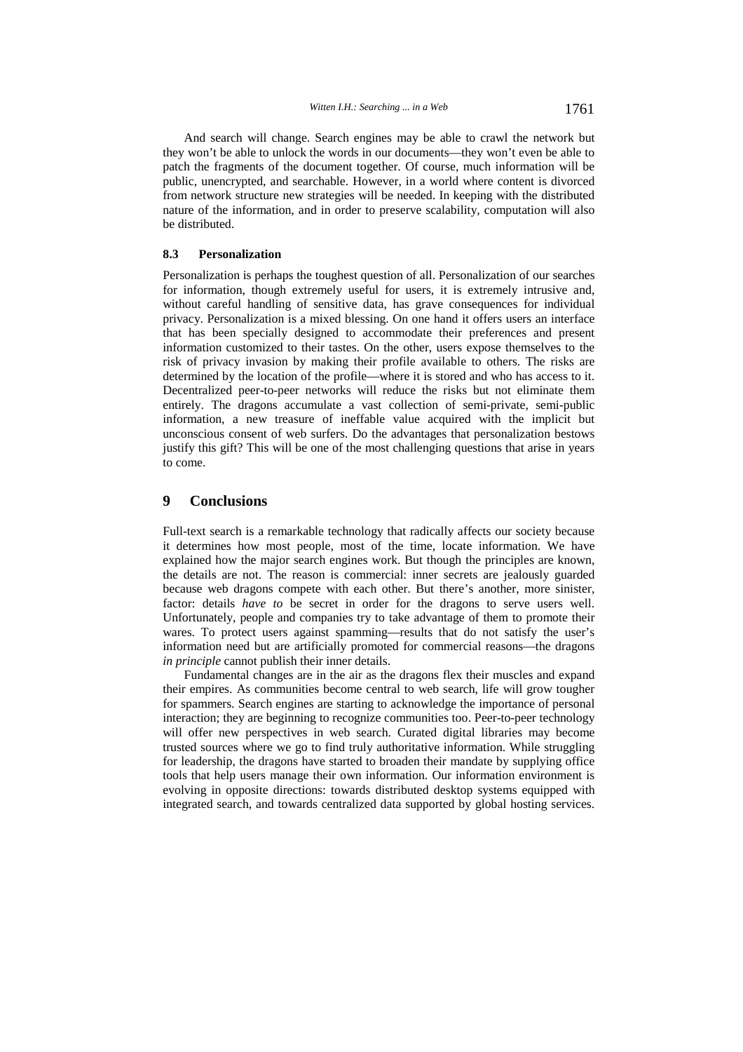And search will change. Search engines may be able to crawl the network but they won't be able to unlock the words in our documents—they won't even be able to patch the fragments of the document together. Of course, much information will be public, unencrypted, and searchable. However, in a world where content is divorced from network structure new strategies will be needed. In keeping with the distributed nature of the information, and in order to preserve scalability, computation will also be distributed.

## **8.3 Personalization**

Personalization is perhaps the toughest question of all. Personalization of our searches for information, though extremely useful for users, it is extremely intrusive and, without careful handling of sensitive data, has grave consequences for individual privacy. Personalization is a mixed blessing. On one hand it offers users an interface that has been specially designed to accommodate their preferences and present information customized to their tastes. On the other, users expose themselves to the risk of privacy invasion by making their profile available to others. The risks are determined by the location of the profile—where it is stored and who has access to it. Decentralized peer-to-peer networks will reduce the risks but not eliminate them entirely. The dragons accumulate a vast collection of semi-private, semi-public information, a new treasure of ineffable value acquired with the implicit but unconscious consent of web surfers. Do the advantages that personalization bestows justify this gift? This will be one of the most challenging questions that arise in years to come.

## **9 Conclusions**

Full-text search is a remarkable technology that radically affects our society because it determines how most people, most of the time, locate information. We have explained how the major search engines work. But though the principles are known, the details are not. The reason is commercial: inner secrets are jealously guarded because web dragons compete with each other. But there's another, more sinister, factor: details *have to* be secret in order for the dragons to serve users well. Unfortunately, people and companies try to take advantage of them to promote their wares. To protect users against spamming—results that do not satisfy the user's information need but are artificially promoted for commercial reasons—the dragons *in principle* cannot publish their inner details.

Fundamental changes are in the air as the dragons flex their muscles and expand their empires. As communities become central to web search, life will grow tougher for spammers. Search engines are starting to acknowledge the importance of personal interaction; they are beginning to recognize communities too. Peer-to-peer technology will offer new perspectives in web search. Curated digital libraries may become trusted sources where we go to find truly authoritative information. While struggling for leadership, the dragons have started to broaden their mandate by supplying office tools that help users manage their own information. Our information environment is evolving in opposite directions: towards distributed desktop systems equipped with integrated search, and towards centralized data supported by global hosting services.